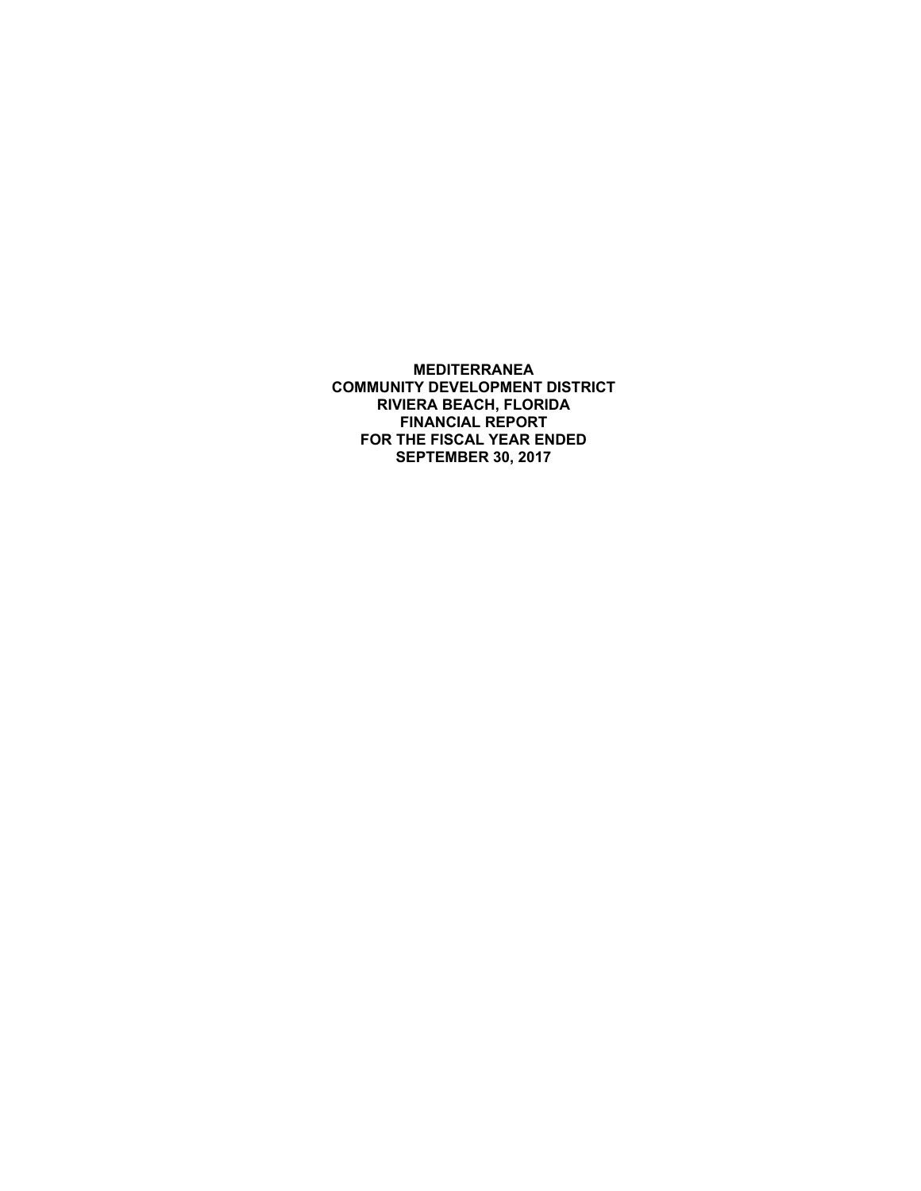**MEDITERRANEA COMMUNITY DEVELOPMENT DISTRICT RIVIERA BEACH, FLORIDA FINANCIAL REPORT FOR THE FISCAL YEAR ENDED SEPTEMBER 30, 2017**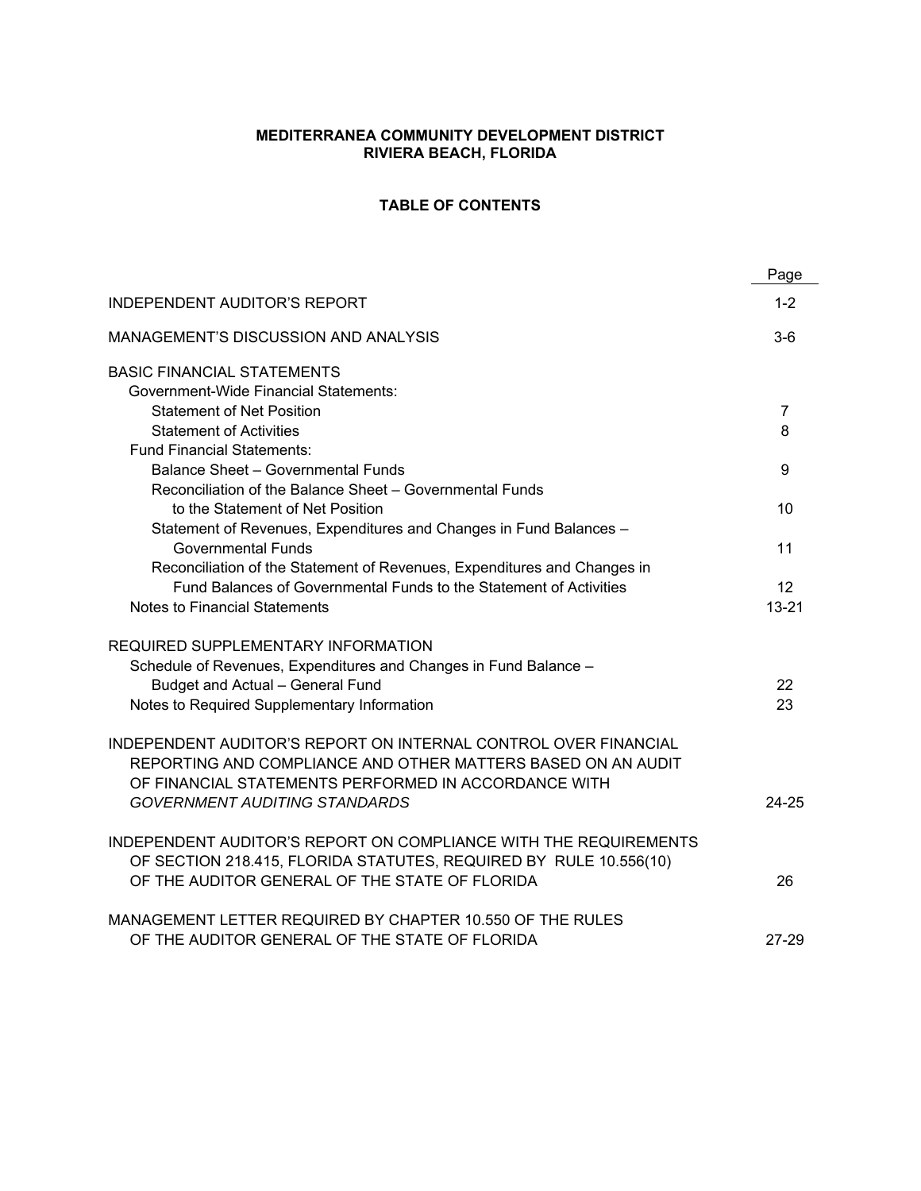# **MEDITERRANEA COMMUNITY DEVELOPMENT DISTRICT RIVIERA BEACH, FLORIDA**

# **TABLE OF CONTENTS**

|                                                                                                                                 | Page      |
|---------------------------------------------------------------------------------------------------------------------------------|-----------|
| INDEPENDENT AUDITOR'S REPORT                                                                                                    | $1 - 2$   |
| MANAGEMENT'S DISCUSSION AND ANALYSIS                                                                                            | $3-6$     |
| <b>BASIC FINANCIAL STATEMENTS</b>                                                                                               |           |
| <b>Government-Wide Financial Statements:</b>                                                                                    |           |
| <b>Statement of Net Position</b>                                                                                                | 7         |
| <b>Statement of Activities</b>                                                                                                  | 8         |
| <b>Fund Financial Statements:</b>                                                                                               |           |
| <b>Balance Sheet - Governmental Funds</b><br>Reconciliation of the Balance Sheet - Governmental Funds                           | 9         |
| to the Statement of Net Position                                                                                                | 10        |
| Statement of Revenues, Expenditures and Changes in Fund Balances -                                                              |           |
| <b>Governmental Funds</b>                                                                                                       | 11        |
| Reconciliation of the Statement of Revenues, Expenditures and Changes in                                                        |           |
| Fund Balances of Governmental Funds to the Statement of Activities                                                              | 12        |
| Notes to Financial Statements                                                                                                   | $13 - 21$ |
| <b>REQUIRED SUPPLEMENTARY INFORMATION</b>                                                                                       |           |
| Schedule of Revenues, Expenditures and Changes in Fund Balance -                                                                |           |
| Budget and Actual - General Fund                                                                                                | 22        |
| Notes to Required Supplementary Information                                                                                     | 23        |
| INDEPENDENT AUDITOR'S REPORT ON INTERNAL CONTROL OVER FINANCIAL<br>REPORTING AND COMPLIANCE AND OTHER MATTERS BASED ON AN AUDIT |           |
| OF FINANCIAL STATEMENTS PERFORMED IN ACCORDANCE WITH                                                                            |           |
| <b>GOVERNMENT AUDITING STANDARDS</b>                                                                                            | 24-25     |
| INDEPENDENT AUDITOR'S REPORT ON COMPLIANCE WITH THE REQUIREMENTS                                                                |           |
| OF SECTION 218.415, FLORIDA STATUTES, REQUIRED BY RULE 10.556(10)                                                               |           |
| OF THE AUDITOR GENERAL OF THE STATE OF FLORIDA                                                                                  | 26        |
| MANAGEMENT LETTER REQUIRED BY CHAPTER 10.550 OF THE RULES                                                                       |           |
| OF THE AUDITOR GENERAL OF THE STATE OF FLORIDA                                                                                  | 27-29     |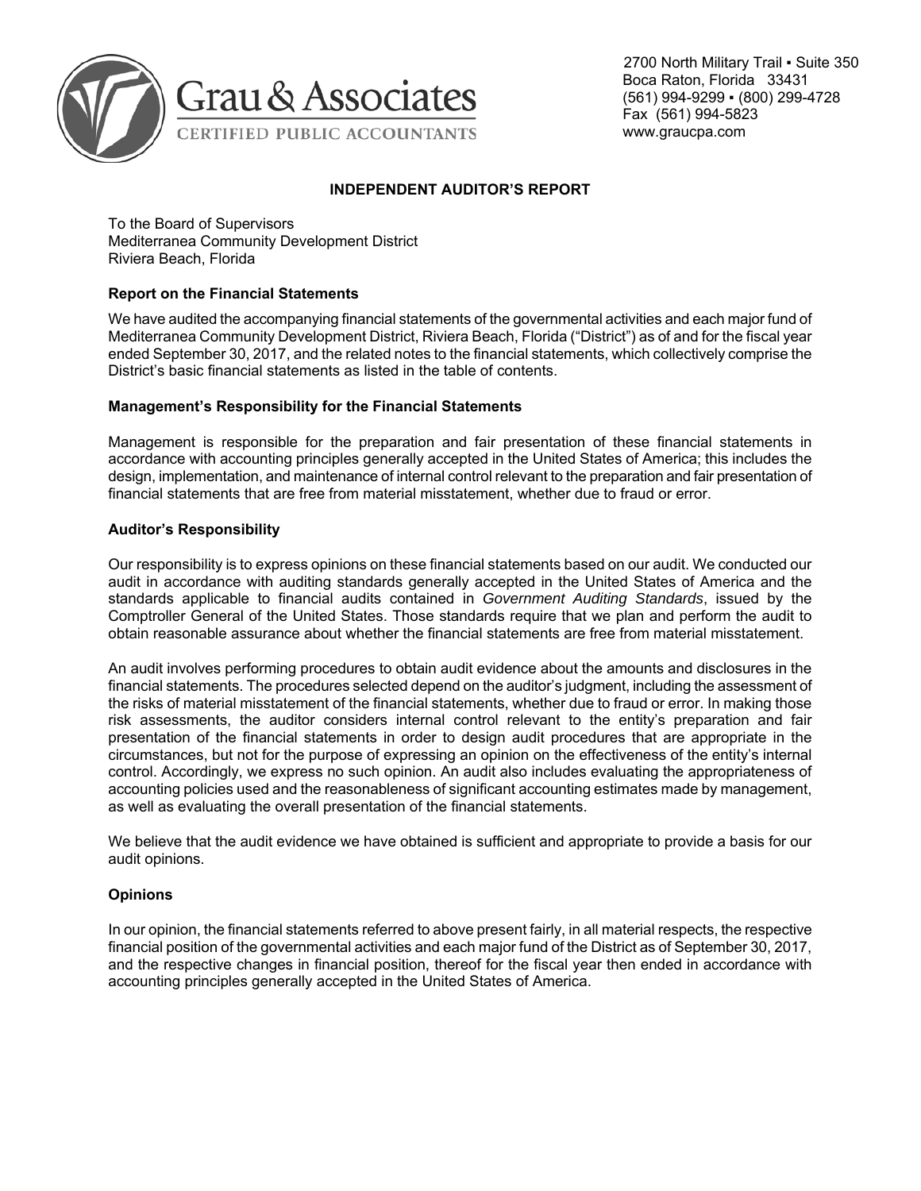

2700 North Military Trail - Suite 350 Boca Raton, Florida 33431 (561) 994-9299 - (800) 299-4728 Fax (561) 994-5823 www.graucpa.com

# **INDEPENDENT AUDITOR'S REPORT**

To the Board of Supervisors Mediterranea Community Development District Riviera Beach, Florida

# **Report on the Financial Statements**

We have audited the accompanying financial statements of the governmental activities and each major fund of Mediterranea Community Development District, Riviera Beach, Florida ("District") as of and for the fiscal year ended September 30, 2017, and the related notes to the financial statements, which collectively comprise the District's basic financial statements as listed in the table of contents.

# **Management's Responsibility for the Financial Statements**

Management is responsible for the preparation and fair presentation of these financial statements in accordance with accounting principles generally accepted in the United States of America; this includes the design, implementation, and maintenance of internal control relevant to the preparation and fair presentation of financial statements that are free from material misstatement, whether due to fraud or error.

# **Auditor's Responsibility**

Our responsibility is to express opinions on these financial statements based on our audit. We conducted our audit in accordance with auditing standards generally accepted in the United States of America and the standards applicable to financial audits contained in *Government Auditing Standards*, issued by the Comptroller General of the United States. Those standards require that we plan and perform the audit to obtain reasonable assurance about whether the financial statements are free from material misstatement.

An audit involves performing procedures to obtain audit evidence about the amounts and disclosures in the financial statements. The procedures selected depend on the auditor's judgment, including the assessment of the risks of material misstatement of the financial statements, whether due to fraud or error. In making those risk assessments, the auditor considers internal control relevant to the entity's preparation and fair presentation of the financial statements in order to design audit procedures that are appropriate in the circumstances, but not for the purpose of expressing an opinion on the effectiveness of the entity's internal control. Accordingly, we express no such opinion. An audit also includes evaluating the appropriateness of accounting policies used and the reasonableness of significant accounting estimates made by management, as well as evaluating the overall presentation of the financial statements.

We believe that the audit evidence we have obtained is sufficient and appropriate to provide a basis for our audit opinions.

## **Opinions**

In our opinion, the financial statements referred to above present fairly, in all material respects, the respective financial position of the governmental activities and each major fund of the District as of September 30, 2017, and the respective changes in financial position, thereof for the fiscal year then ended in accordance with accounting principles generally accepted in the United States of America.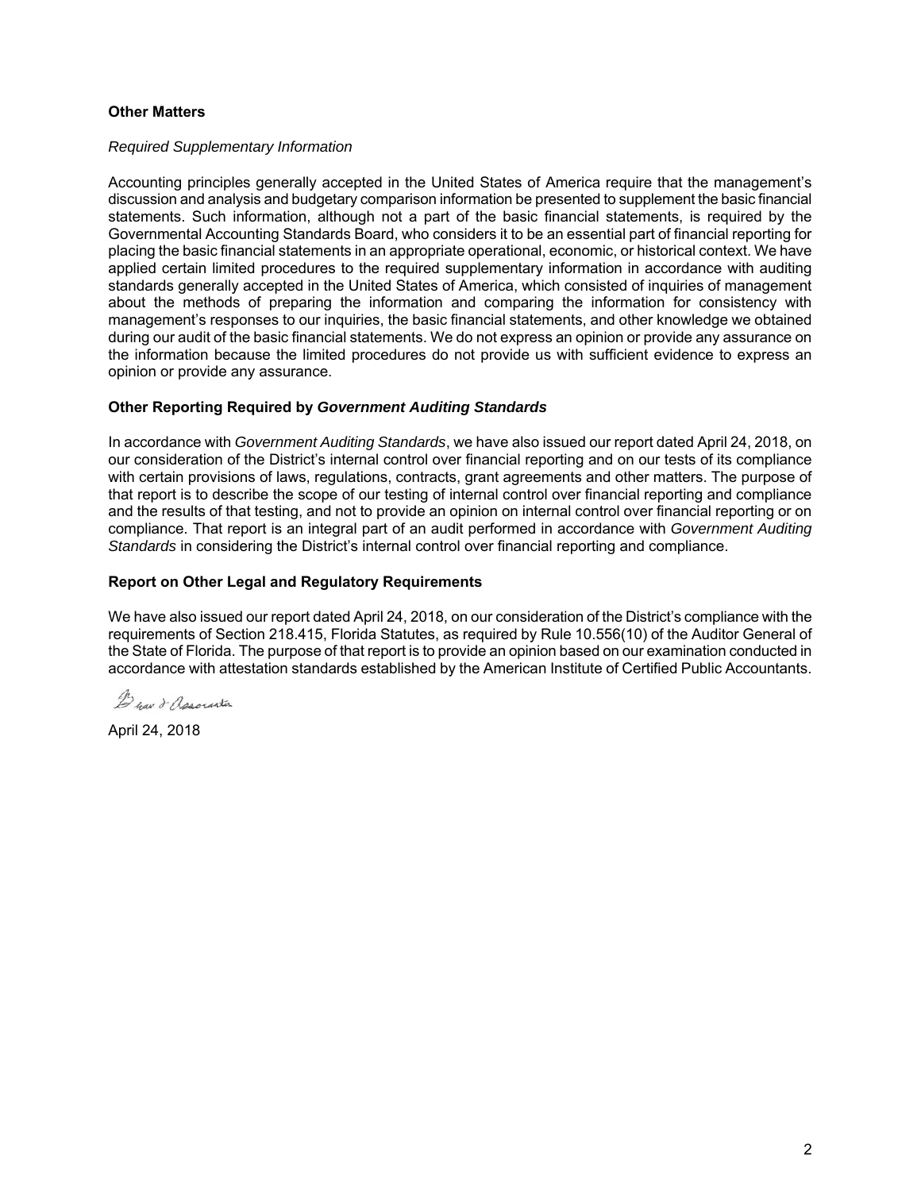# **Other Matters**

#### *Required Supplementary Information*

Accounting principles generally accepted in the United States of America require that the management's discussion and analysis and budgetary comparison information be presented to supplement the basic financial statements. Such information, although not a part of the basic financial statements, is required by the Governmental Accounting Standards Board, who considers it to be an essential part of financial reporting for placing the basic financial statements in an appropriate operational, economic, or historical context. We have applied certain limited procedures to the required supplementary information in accordance with auditing standards generally accepted in the United States of America, which consisted of inquiries of management about the methods of preparing the information and comparing the information for consistency with management's responses to our inquiries, the basic financial statements, and other knowledge we obtained during our audit of the basic financial statements. We do not express an opinion or provide any assurance on the information because the limited procedures do not provide us with sufficient evidence to express an opinion or provide any assurance.

# **Other Reporting Required by** *Government Auditing Standards*

In accordance with *Government Auditing Standards*, we have also issued our report dated April 24, 2018, on our consideration of the District's internal control over financial reporting and on our tests of its compliance with certain provisions of laws, regulations, contracts, grant agreements and other matters. The purpose of that report is to describe the scope of our testing of internal control over financial reporting and compliance and the results of that testing, and not to provide an opinion on internal control over financial reporting or on compliance. That report is an integral part of an audit performed in accordance with *Government Auditing Standards* in considering the District's internal control over financial reporting and compliance.

## **Report on Other Legal and Regulatory Requirements**

We have also issued our report dated April 24, 2018, on our consideration of the District's compliance with the requirements of Section 218.415, Florida Statutes, as required by Rule 10.556(10) of the Auditor General of the State of Florida. The purpose of that report is to provide an opinion based on our examination conducted in accordance with attestation standards established by the American Institute of Certified Public Accountants.

Dear & Association

April 24, 2018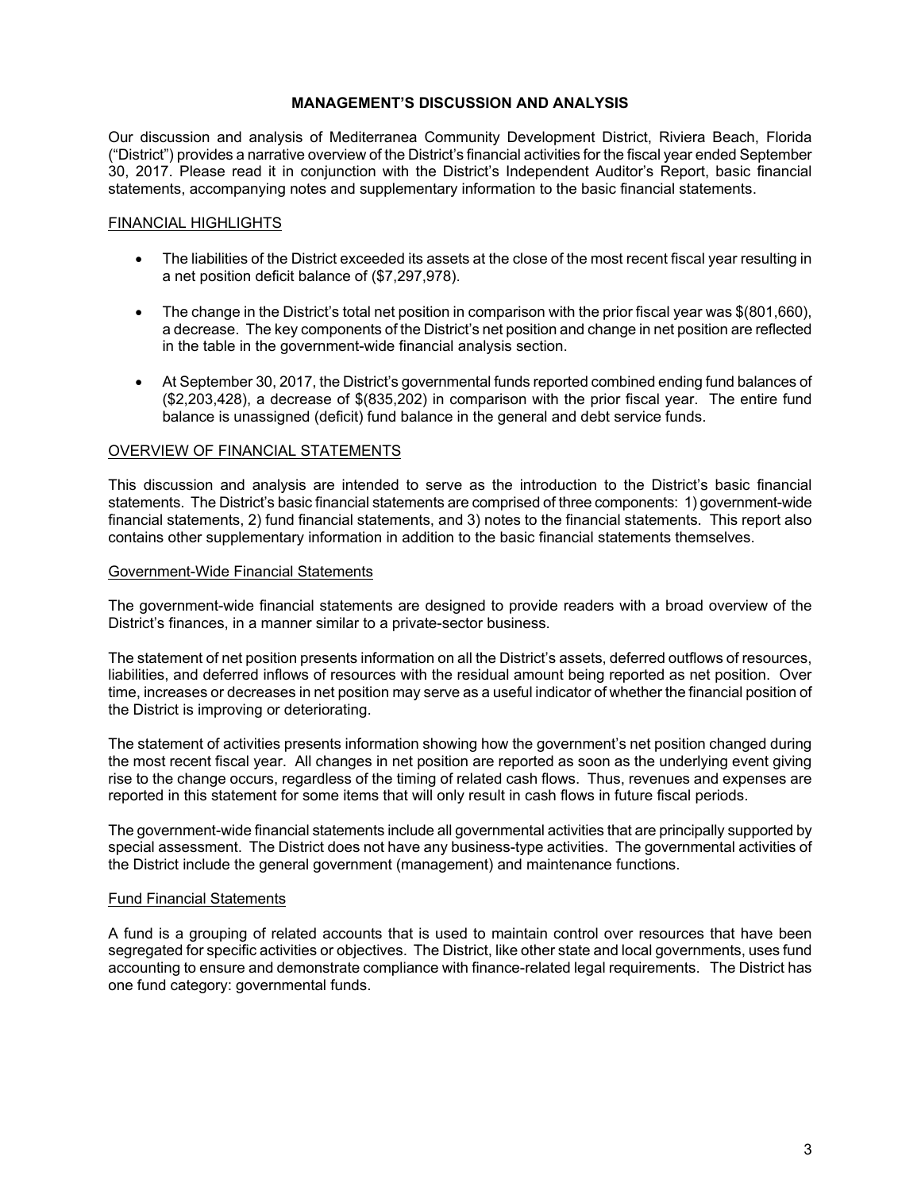# **MANAGEMENT'S DISCUSSION AND ANALYSIS**

Our discussion and analysis of Mediterranea Community Development District, Riviera Beach, Florida ("District") provides a narrative overview of the District's financial activities for the fiscal year ended September 30, 2017. Please read it in conjunction with the District's Independent Auditor's Report, basic financial statements, accompanying notes and supplementary information to the basic financial statements.

# FINANCIAL HIGHLIGHTS

- The liabilities of the District exceeded its assets at the close of the most recent fiscal year resulting in a net position deficit balance of (\$7,297,978).
- $\bullet$  The change in the District's total net position in comparison with the prior fiscal year was \$(801,660), a decrease. The key components of the District's net position and change in net position are reflected in the table in the government-wide financial analysis section.
- At September 30, 2017, the District's governmental funds reported combined ending fund balances of (\$2,203,428), a decrease of \$(835,202) in comparison with the prior fiscal year. The entire fund balance is unassigned (deficit) fund balance in the general and debt service funds.

## OVERVIEW OF FINANCIAL STATEMENTS

This discussion and analysis are intended to serve as the introduction to the District's basic financial statements. The District's basic financial statements are comprised of three components: 1) government-wide financial statements, 2) fund financial statements, and 3) notes to the financial statements. This report also contains other supplementary information in addition to the basic financial statements themselves.

## Government-Wide Financial Statements

The government-wide financial statements are designed to provide readers with a broad overview of the District's finances, in a manner similar to a private-sector business.

The statement of net position presents information on all the District's assets, deferred outflows of resources, liabilities, and deferred inflows of resources with the residual amount being reported as net position. Over time, increases or decreases in net position may serve as a useful indicator of whether the financial position of the District is improving or deteriorating.

The statement of activities presents information showing how the government's net position changed during the most recent fiscal year. All changes in net position are reported as soon as the underlying event giving rise to the change occurs, regardless of the timing of related cash flows. Thus, revenues and expenses are reported in this statement for some items that will only result in cash flows in future fiscal periods.

The government-wide financial statements include all governmental activities that are principally supported by special assessment. The District does not have any business-type activities. The governmental activities of the District include the general government (management) and maintenance functions.

## Fund Financial Statements

A fund is a grouping of related accounts that is used to maintain control over resources that have been segregated for specific activities or objectives. The District, like other state and local governments, uses fund accounting to ensure and demonstrate compliance with finance-related legal requirements. The District has one fund category: governmental funds.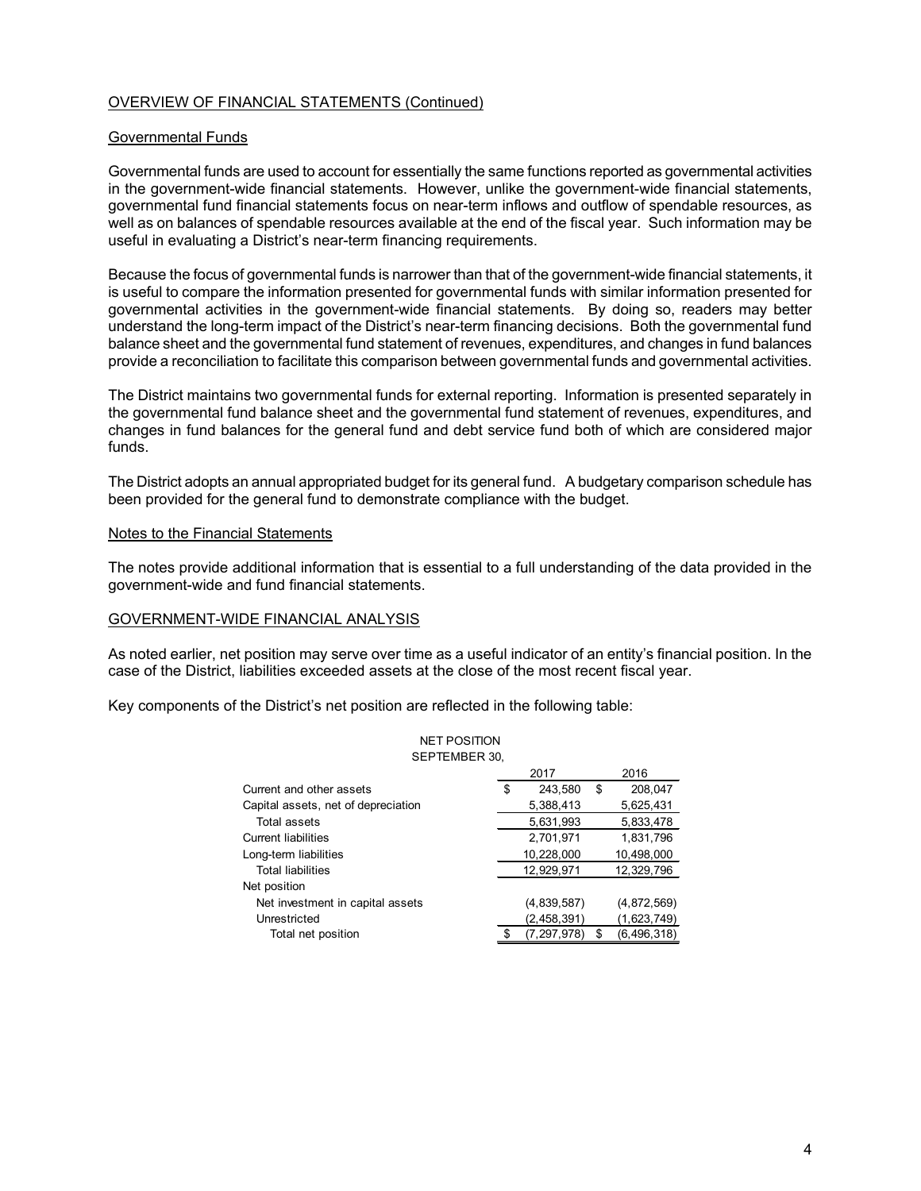# OVERVIEW OF FINANCIAL STATEMENTS (Continued)

# Governmental Funds

Governmental funds are used to account for essentially the same functions reported as governmental activities in the government-wide financial statements. However, unlike the government-wide financial statements, governmental fund financial statements focus on near-term inflows and outflow of spendable resources, as well as on balances of spendable resources available at the end of the fiscal year. Such information may be useful in evaluating a District's near-term financing requirements.

Because the focus of governmental funds is narrower than that of the government-wide financial statements, it is useful to compare the information presented for governmental funds with similar information presented for governmental activities in the government-wide financial statements. By doing so, readers may better understand the long-term impact of the District's near-term financing decisions. Both the governmental fund balance sheet and the governmental fund statement of revenues, expenditures, and changes in fund balances provide a reconciliation to facilitate this comparison between governmental funds and governmental activities.

The District maintains two governmental funds for external reporting. Information is presented separately in the governmental fund balance sheet and the governmental fund statement of revenues, expenditures, and changes in fund balances for the general fund and debt service fund both of which are considered major funds.

The District adopts an annual appropriated budget for its general fund. A budgetary comparison schedule has been provided for the general fund to demonstrate compliance with the budget.

#### Notes to the Financial Statements

The notes provide additional information that is essential to a full understanding of the data provided in the government-wide and fund financial statements.

## GOVERNMENT-WIDE FINANCIAL ANALYSIS

As noted earlier, net position may serve over time as a useful indicator of an entity's financial position. In the case of the District, liabilities exceeded assets at the close of the most recent fiscal year.

Key components of the District's net position are reflected in the following table:

#### NET POSITION SEPTEMBER 30,

|                                     | 2017          | 2016          |
|-------------------------------------|---------------|---------------|
| Current and other assets            | \$<br>243,580 | \$<br>208,047 |
| Capital assets, net of depreciation | 5,388,413     | 5,625,431     |
| Total assets                        | 5,631,993     | 5,833,478     |
| <b>Current liabilities</b>          | 2,701,971     | 1,831,796     |
| Long-term liabilities               | 10,228,000    | 10,498,000    |
| <b>Total liabilities</b>            | 12,929,971    | 12,329,796    |
| Net position                        |               |               |
| Net investment in capital assets    | (4,839,587)   | (4,872,569)   |
| Unrestricted                        | (2, 458, 391) | (1,623,749)   |
| Total net position                  | (7, 297, 978) | (6, 496, 318) |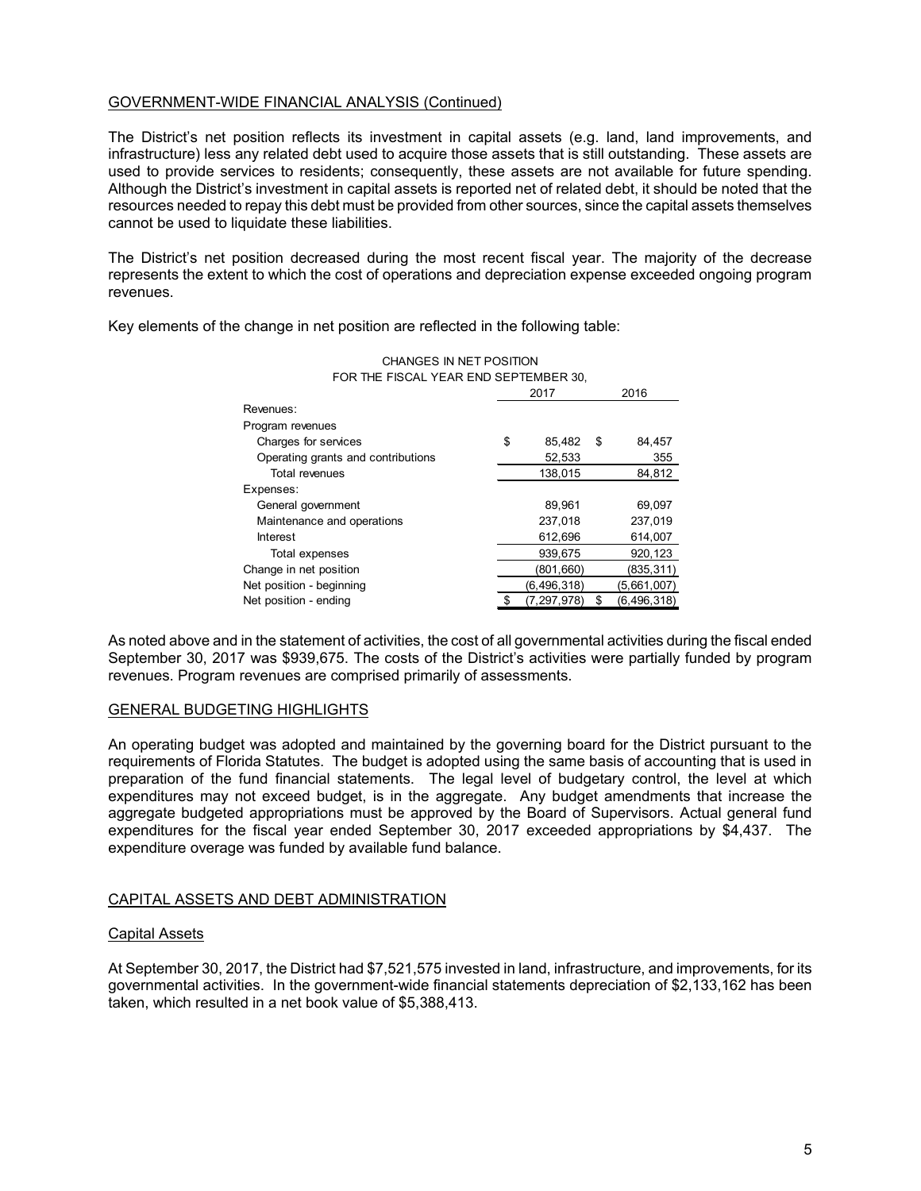# GOVERNMENT-WIDE FINANCIAL ANALYSIS (Continued)

The District's net position reflects its investment in capital assets (e.g. land, land improvements, and infrastructure) less any related debt used to acquire those assets that is still outstanding. These assets are used to provide services to residents; consequently, these assets are not available for future spending. Although the District's investment in capital assets is reported net of related debt, it should be noted that the resources needed to repay this debt must be provided from other sources, since the capital assets themselves cannot be used to liquidate these liabilities.

The District's net position decreased during the most recent fiscal year. The majority of the decrease represents the extent to which the cost of operations and depreciation expense exceeded ongoing program revenues.

Key elements of the change in net position are reflected in the following table:

| FOR THE FISCAL YEAR END SEPTEMBER 30, |               |               |   |               |  |  |  |  |  |
|---------------------------------------|---------------|---------------|---|---------------|--|--|--|--|--|
|                                       | 2017          |               |   | 2016          |  |  |  |  |  |
| Revenues:                             |               |               |   |               |  |  |  |  |  |
| Program revenues                      |               |               |   |               |  |  |  |  |  |
| Charges for services                  | \$            | 85,482        | S | 84,457        |  |  |  |  |  |
| Operating grants and contributions    | 52,533<br>355 |               |   |               |  |  |  |  |  |
| Total revenues                        |               | 84,812        |   |               |  |  |  |  |  |
| Expenses:                             |               |               |   |               |  |  |  |  |  |
| General government                    |               | 89,961        |   | 69,097        |  |  |  |  |  |
| Maintenance and operations            |               | 237,018       |   | 237.019       |  |  |  |  |  |
| Interest                              |               | 612,696       |   | 614,007       |  |  |  |  |  |
| Total expenses                        |               | 939,675       |   | 920,123       |  |  |  |  |  |
| Change in net position                |               | (801, 660)    |   | (835, 311)    |  |  |  |  |  |
| Net position - beginning              |               | (6, 496, 318) |   | (5,661,007)   |  |  |  |  |  |
| Net position - ending                 | S             | (7, 297, 978) | S | (6, 496, 318) |  |  |  |  |  |

FOR THE FISCAL YEAR END SEPTEMBER 30, CHANGES IN NET POSITION

As noted above and in the statement of activities, the cost of all governmental activities during the fiscal ended September 30, 2017 was \$939,675. The costs of the District's activities were partially funded by program revenues. Program revenues are comprised primarily of assessments.

## GENERAL BUDGETING HIGHLIGHTS

An operating budget was adopted and maintained by the governing board for the District pursuant to the requirements of Florida Statutes. The budget is adopted using the same basis of accounting that is used in preparation of the fund financial statements. The legal level of budgetary control, the level at which expenditures may not exceed budget, is in the aggregate. Any budget amendments that increase the aggregate budgeted appropriations must be approved by the Board of Supervisors. Actual general fund expenditures for the fiscal year ended September 30, 2017 exceeded appropriations by \$4,437. The expenditure overage was funded by available fund balance.

## CAPITAL ASSETS AND DEBT ADMINISTRATION

## Capital Assets

At September 30, 2017, the District had \$7,521,575 invested in land, infrastructure, and improvements, for its governmental activities. In the government-wide financial statements depreciation of \$2,133,162 has been taken, which resulted in a net book value of \$5,388,413.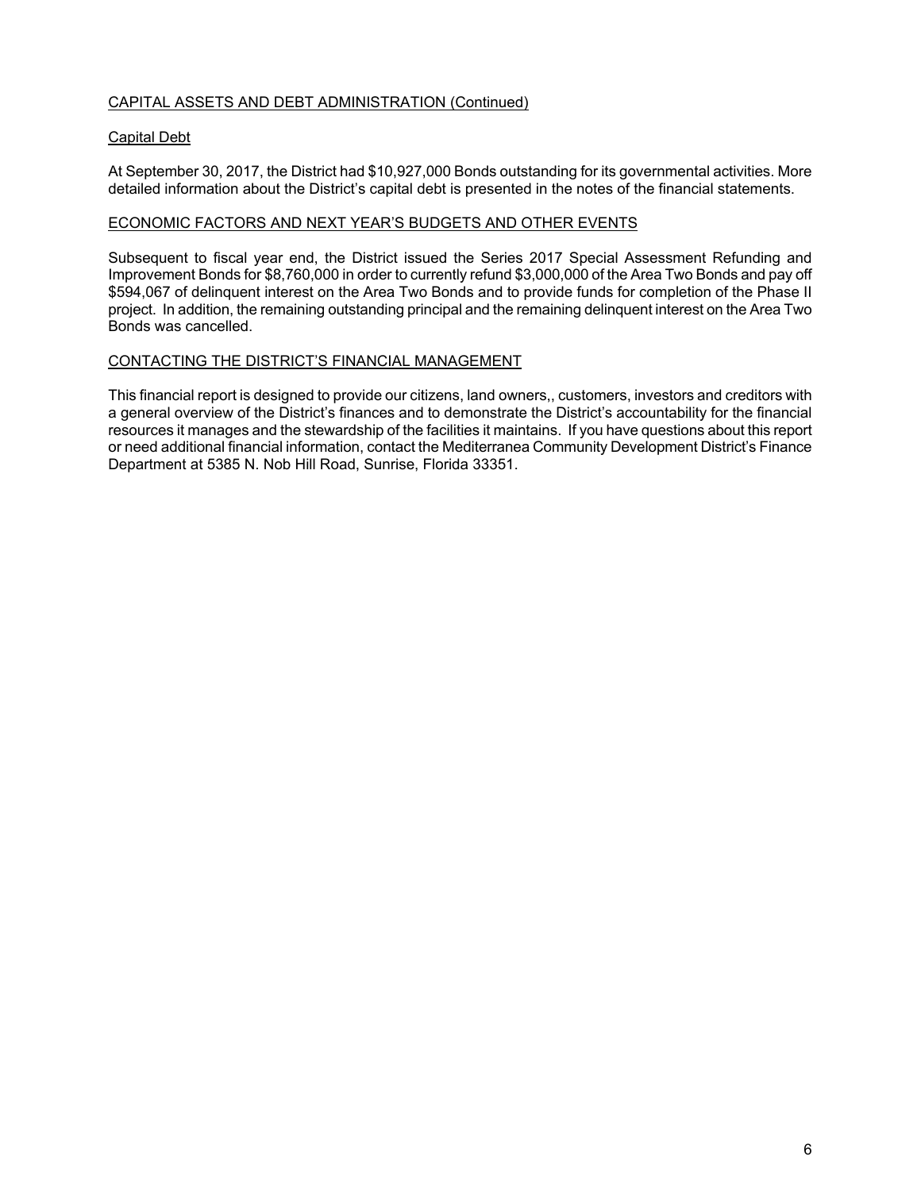# CAPITAL ASSETS AND DEBT ADMINISTRATION (Continued)

# Capital Debt

At September 30, 2017, the District had \$10,927,000 Bonds outstanding for its governmental activities. More detailed information about the District's capital debt is presented in the notes of the financial statements.

# ECONOMIC FACTORS AND NEXT YEAR'S BUDGETS AND OTHER EVENTS

Subsequent to fiscal year end, the District issued the Series 2017 Special Assessment Refunding and Improvement Bonds for \$8,760,000 in order to currently refund \$3,000,000 of the Area Two Bonds and pay off \$594,067 of delinquent interest on the Area Two Bonds and to provide funds for completion of the Phase II project. In addition, the remaining outstanding principal and the remaining delinquent interest on the Area Two Bonds was cancelled.

#### CONTACTING THE DISTRICT'S FINANCIAL MANAGEMENT

This financial report is designed to provide our citizens, land owners,, customers, investors and creditors with a general overview of the District's finances and to demonstrate the District's accountability for the financial resources it manages and the stewardship of the facilities it maintains. If you have questions about this report or need additional financial information, contact the Mediterranea Community Development District's Finance Department at 5385 N. Nob Hill Road, Sunrise, Florida 33351.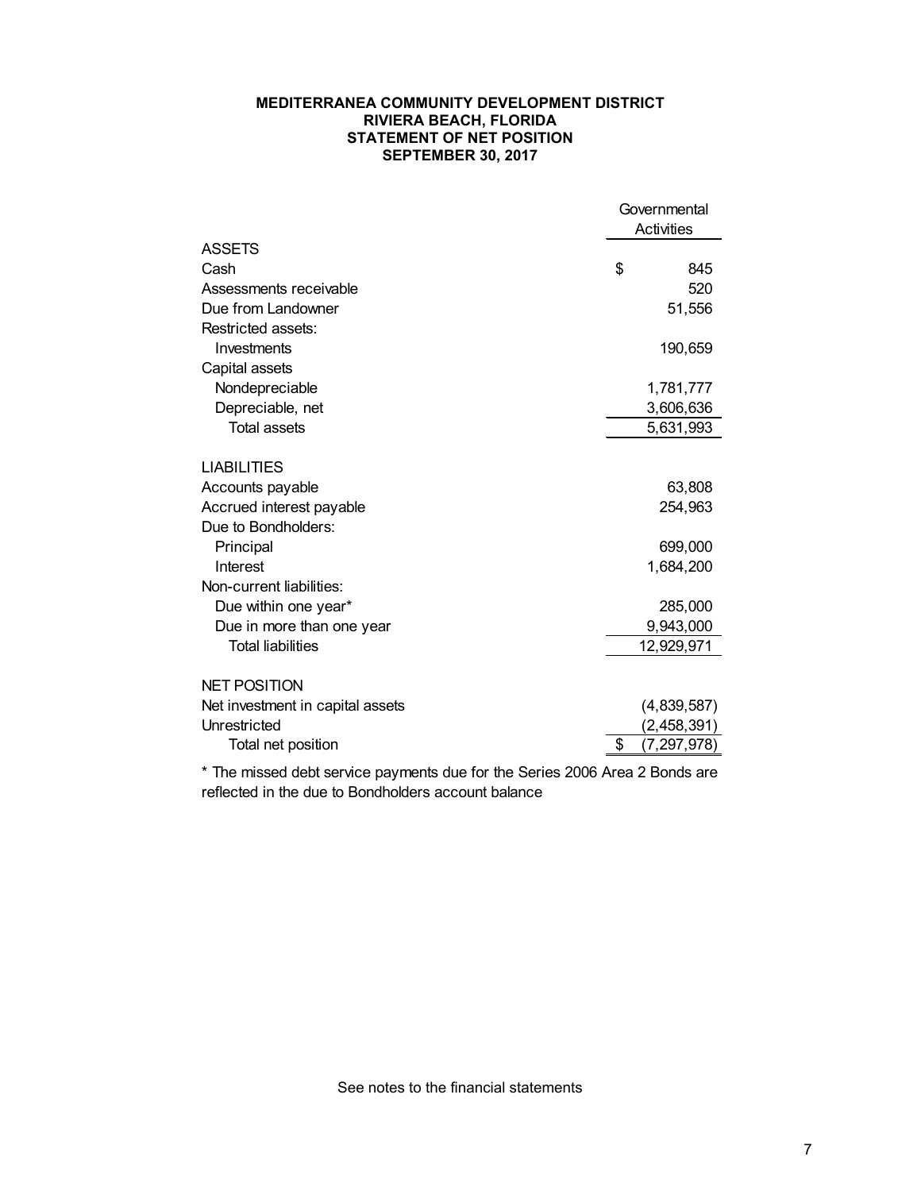# **MEDITERRANEA COMMUNITY DEVELOPMENT DISTRICT RIVIERA BEACH, FLORIDA STATEMENT OF NET POSITION SEPTEMBER 30, 2017**

|                                  | Governmental      |  |  |  |
|----------------------------------|-------------------|--|--|--|
|                                  | <b>Activities</b> |  |  |  |
| <b>ASSETS</b>                    |                   |  |  |  |
| Cash                             | \$<br>845         |  |  |  |
| Assessments receivable           | 520               |  |  |  |
| Due from Landowner               | 51,556            |  |  |  |
| Restricted assets:               |                   |  |  |  |
| Investments                      | 190,659           |  |  |  |
| Capital assets                   |                   |  |  |  |
| Nondepreciable                   | 1,781,777         |  |  |  |
| Depreciable, net                 | 3,606,636         |  |  |  |
| <b>Total assets</b>              | 5,631,993         |  |  |  |
|                                  |                   |  |  |  |
| <b>LIABILITIES</b>               |                   |  |  |  |
| Accounts payable                 | 63,808            |  |  |  |
| Accrued interest payable         | 254,963           |  |  |  |
| Due to Bondholders:              |                   |  |  |  |
| Principal                        | 699,000           |  |  |  |
| Interest                         | 1,684,200         |  |  |  |
| Non-current liabilities:         |                   |  |  |  |
| Due within one year*             | 285,000           |  |  |  |
| Due in more than one year        | 9,943,000         |  |  |  |
| <b>Total liabilities</b>         | 12,929,971        |  |  |  |
|                                  |                   |  |  |  |
| <b>NET POSITION</b>              |                   |  |  |  |
| Net investment in capital assets | (4,839,587)       |  |  |  |
| Unrestricted                     | (2, 458, 391)     |  |  |  |
| Total net position               | \$<br>(7,297,978) |  |  |  |

\* The missed debt service payments due for the Series 2006 Area 2 Bonds are reflected in the due to Bondholders account balance

See notes to the financial statements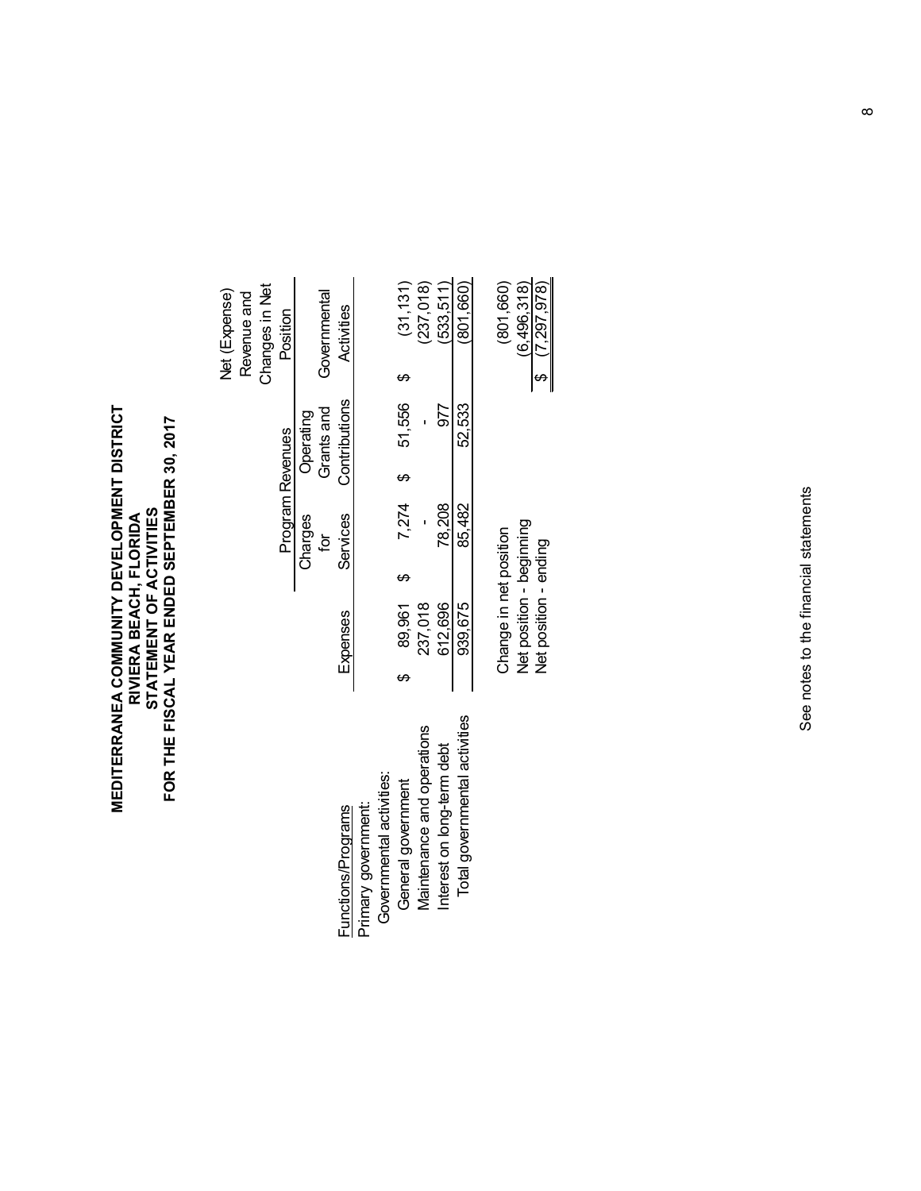# **MEDITERRANEA COMMUNITY DEVELOPMENT DISTRICT<br>RIVIERA BEACH, FLORIDA<br>STATEMENT OF ACTIVITIES<br>FOR THE FISCAL YEAR ENDED SEPTEMBER 30, 2017 MEDITERRANEA COMMUNITY DEVELOPMENT DISTRICT FOR THE FISCAL YEAR ENDED SEPTEMBER 30, 2017 STATEMENT OF ACTIVITIES RIVIERA BEACH, FLORIDA**

|                               |                          |                  |               | Net (Expense)  |
|-------------------------------|--------------------------|------------------|---------------|----------------|
|                               |                          |                  |               | Revenue and    |
|                               |                          |                  |               | Changes in Net |
|                               |                          | Program Revenues |               | Position       |
|                               |                          | Charges          | Operating     |                |
|                               |                          | for              | Grants and    | Governmental   |
| Functions/Programs            | Expenses                 | Services         | Contributions | Activities     |
| Primary government:           |                          |                  |               |                |
| Governmental activities:      |                          |                  |               |                |
| General government            | 89,961                   | 7,274            | 51,556        | (31, 131)      |
| Maintenance and operations    | 237,018                  |                  |               | (237,018)      |
| Interest on long-term debt    | 612,696                  | 78,208           | 977           | 533,511)       |
| Total governmental activities | 939.675                  | 85,482           | 52.533        | 801.660)       |
|                               |                          |                  |               |                |
|                               | Change in net position   |                  |               | (801, 660)     |
|                               | Net position - beginning |                  |               | (6,496,318)    |
|                               | Net position - ending    |                  |               | (7,297,978)    |

See notes to the financial statements See notes to the financial statements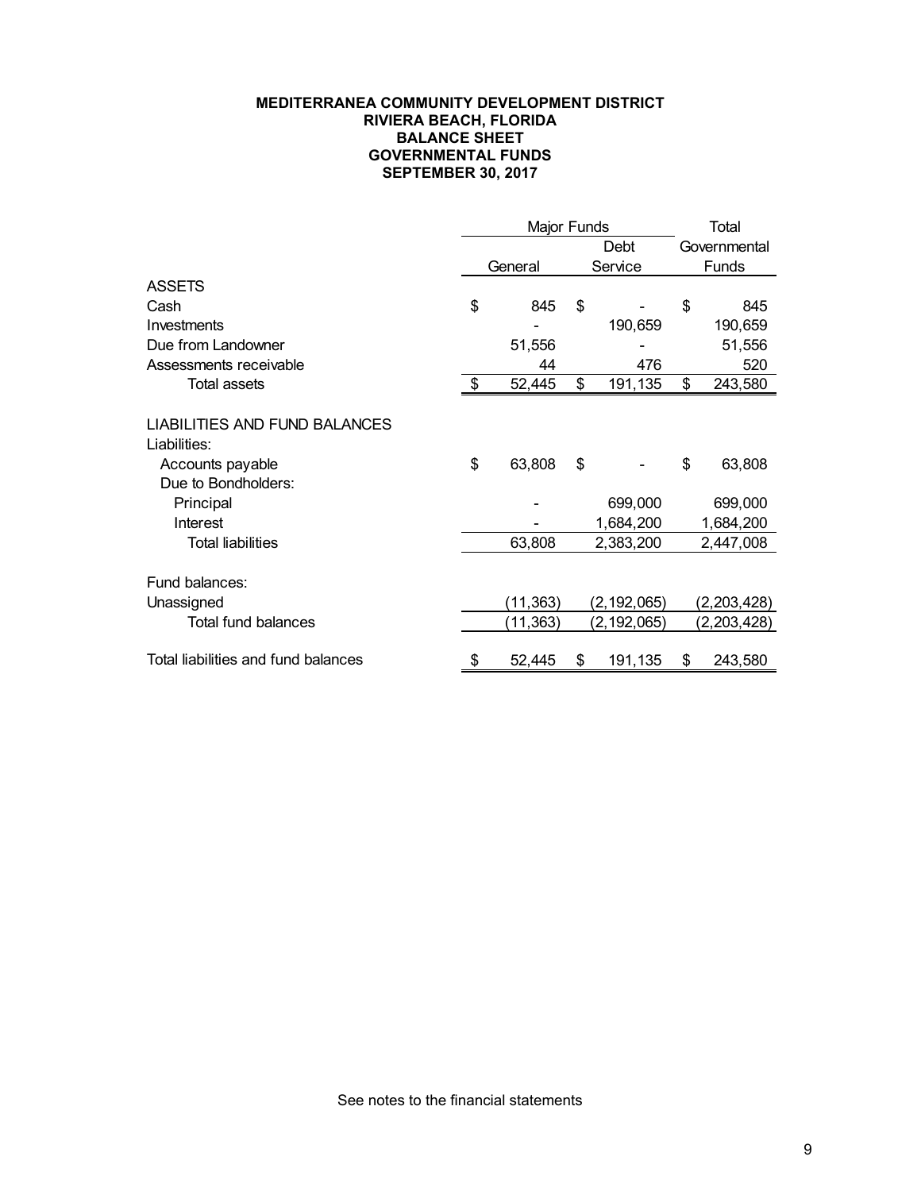# **MEDITERRANEA COMMUNITY DEVELOPMENT DISTRICT RIVIERA BEACH, FLORIDA BALANCE SHEET GOVERNMENTAL FUNDS SEPTEMBER 30, 2017**

|                                                                                                              | Major Funds  |    | Total       |    |                   |
|--------------------------------------------------------------------------------------------------------------|--------------|----|-------------|----|-------------------|
|                                                                                                              |              |    | Debt        |    | Governmental      |
|                                                                                                              | General      |    | Service     |    | Funds             |
| <b>ASSETS</b>                                                                                                |              |    |             |    |                   |
| Cash                                                                                                         | \$<br>845    | \$ |             | \$ | 845               |
| Investments                                                                                                  |              |    | 190,659     |    | 190,659           |
| Due from Landowner                                                                                           | 51,556       |    |             |    | 51,556            |
| Assessments receivable                                                                                       | 44           |    | 476         |    | 520               |
| <b>Total assets</b>                                                                                          | \$<br>52,445 | \$ | 191,135     | \$ | 243,580           |
| <b>LIABILITIES AND FUND BALANCES</b><br>Liabilities:<br>Accounts payable<br>Due to Bondholders:<br>Principal | \$<br>63,808 | \$ | 699,000     | \$ | 63,808<br>699,000 |
| Interest                                                                                                     |              |    | 1,684,200   |    | 1,684,200         |
| <b>Total liabilities</b>                                                                                     | 63,808       |    | 2,383,200   |    | 2,447,008         |
| Fund balances:                                                                                               |              |    |             |    |                   |
| Unassigned                                                                                                   | (11, 363)    |    | (2,192,065) |    | (2,203,428)       |
| Total fund balances                                                                                          | (11,363)     |    | (2,192,065) |    | (2,203,428)       |
| Total liabilities and fund balances                                                                          | \$<br>52,445 | \$ | 191,135     | \$ | 243,580           |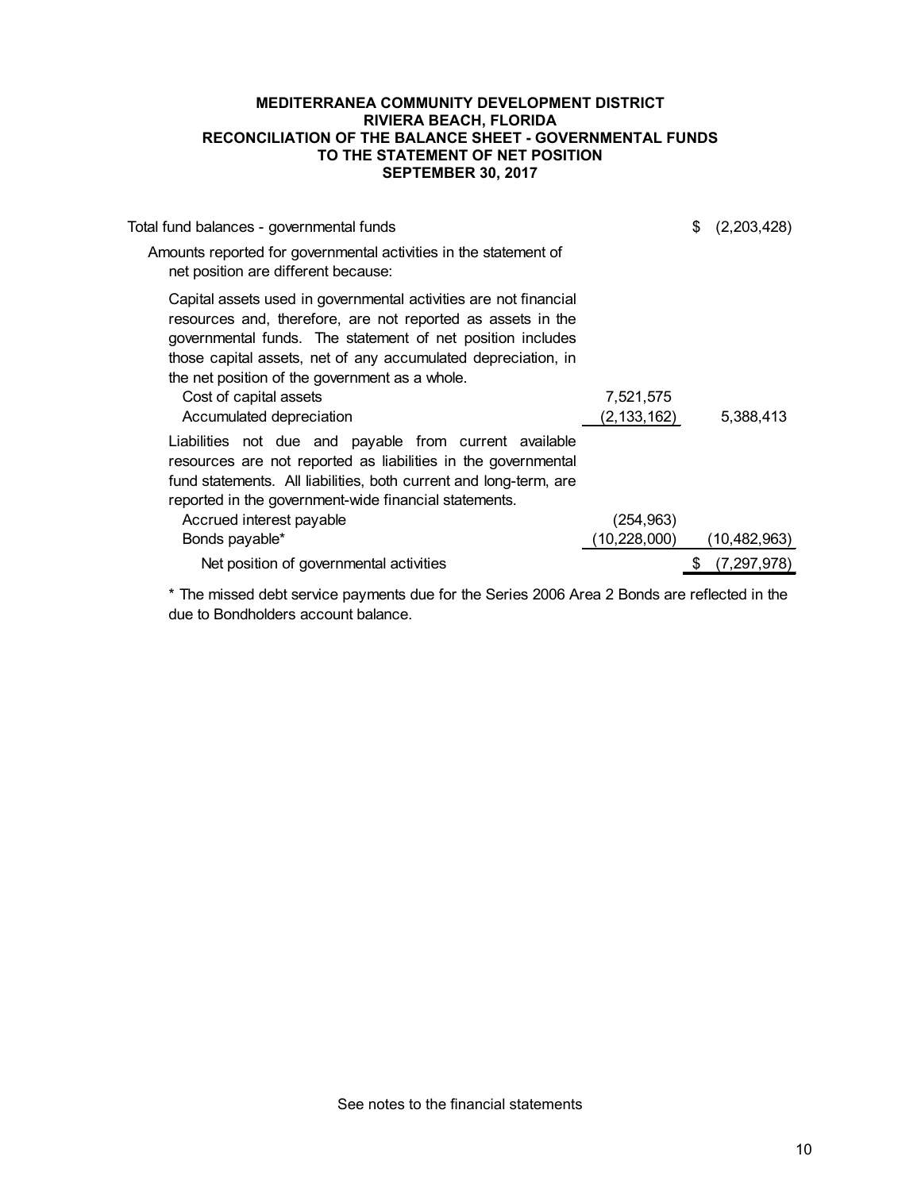# **MEDITERRANEA COMMUNITY DEVELOPMENT DISTRICT RIVIERA BEACH, FLORIDA RECONCILIATION OF THE BALANCE SHEET - GOVERNMENTAL FUNDS TO THE STATEMENT OF NET POSITION SEPTEMBER 30, 2017**

| Total fund balances - governmental funds                                                                                                                                                                                                                                                                                                                               |                          | \$<br>(2,203,428) |
|------------------------------------------------------------------------------------------------------------------------------------------------------------------------------------------------------------------------------------------------------------------------------------------------------------------------------------------------------------------------|--------------------------|-------------------|
| Amounts reported for governmental activities in the statement of<br>net position are different because:                                                                                                                                                                                                                                                                |                          |                   |
| Capital assets used in governmental activities are not financial<br>resources and, therefore, are not reported as assets in the<br>governmental funds. The statement of net position includes<br>those capital assets, net of any accumulated depreciation, in<br>the net position of the government as a whole.<br>Cost of capital assets<br>Accumulated depreciation | 7,521,575<br>(2,133,162) | 5,388,413         |
| Liabilities not due and payable from current available<br>resources are not reported as liabilities in the governmental<br>fund statements. All liabilities, both current and long-term, are<br>reported in the government-wide financial statements.<br>Accrued interest payable                                                                                      | (254, 963)               |                   |
| Bonds payable*                                                                                                                                                                                                                                                                                                                                                         | (10, 228, 000)           | (10,482,963)      |
| Net position of governmental activities                                                                                                                                                                                                                                                                                                                                |                          | (7, 297, 978)     |
|                                                                                                                                                                                                                                                                                                                                                                        |                          |                   |

\* The missed debt service payments due for the Series 2006 Area 2 Bonds are reflected in the due to Bondholders account balance.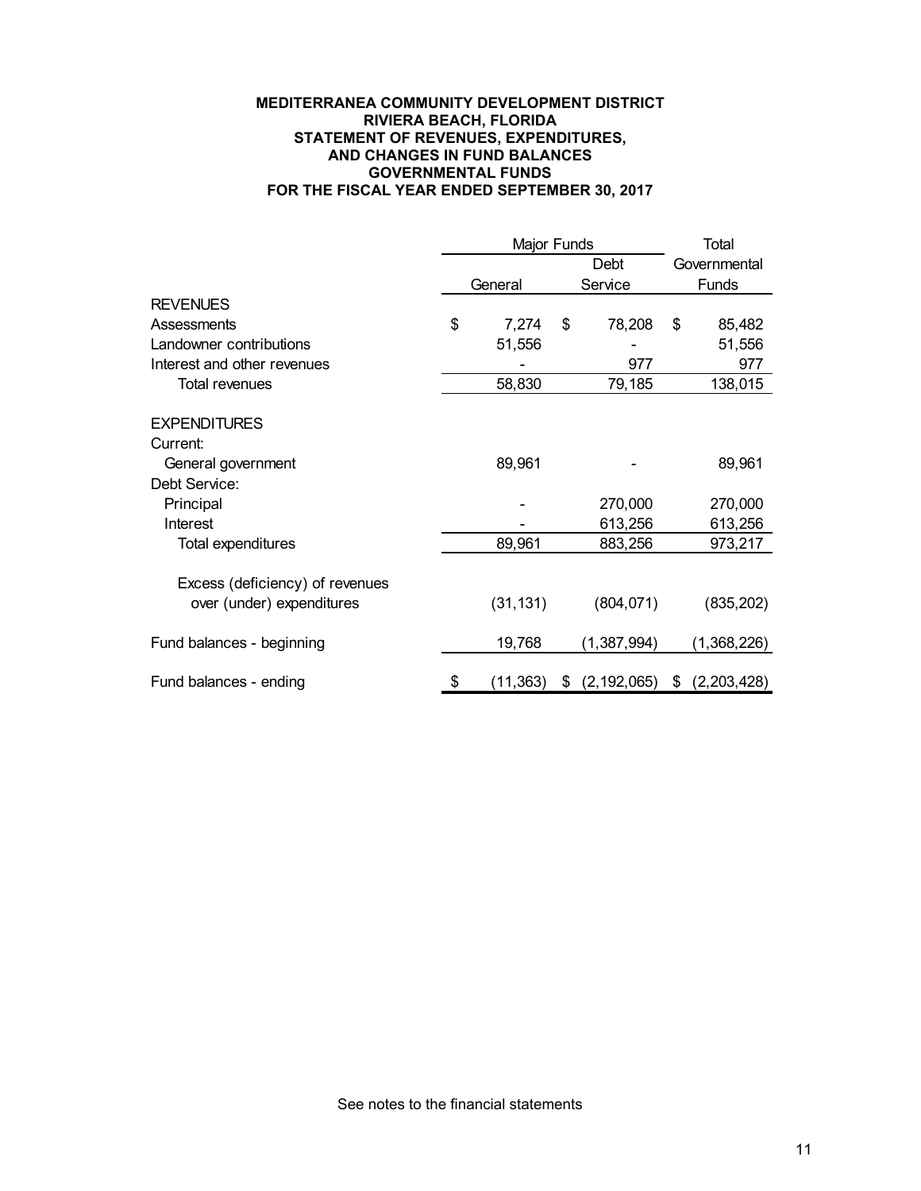# **MEDITERRANEA COMMUNITY DEVELOPMENT DISTRICT RIVIERA BEACH, FLORIDA STATEMENT OF REVENUES, EXPENDITURES, AND CHANGES IN FUND BALANCES GOVERNMENTAL FUNDS FOR THE FISCAL YEAR ENDED SEPTEMBER 30, 2017**

|                                 | Major Funds     | Total               |    |              |
|---------------------------------|-----------------|---------------------|----|--------------|
|                                 |                 | Debt                |    | Governmental |
|                                 | General         | Service             |    | Funds        |
| <b>REVENUES</b>                 |                 |                     |    |              |
| Assessments                     | \$<br>7,274     | \$<br>78,208        | \$ | 85,482       |
| Landowner contributions         | 51,556          |                     |    | 51,556       |
| Interest and other revenues     |                 | 977                 |    | 977          |
| Total revenues                  | 58,830          | 79,185              |    | 138,015      |
| <b>EXPENDITURES</b>             |                 |                     |    |              |
| Current:                        |                 |                     |    |              |
| General government              | 89,961          |                     |    | 89,961       |
| Debt Service:                   |                 |                     |    |              |
| Principal                       |                 | 270,000             |    | 270,000      |
| Interest                        |                 | 613,256             |    | 613,256      |
| Total expenditures              | 89,961          | 883,256             |    | 973,217      |
| Excess (deficiency) of revenues |                 |                     |    |              |
| over (under) expenditures       | (31, 131)       | (804, 071)          |    | (835, 202)   |
| Fund balances - beginning       | 19,768          | (1, 387, 994)       |    | (1,368,226)  |
| Fund balances - ending          | \$<br>(11, 363) | \$<br>(2, 192, 065) | \$ | (2,203,428)  |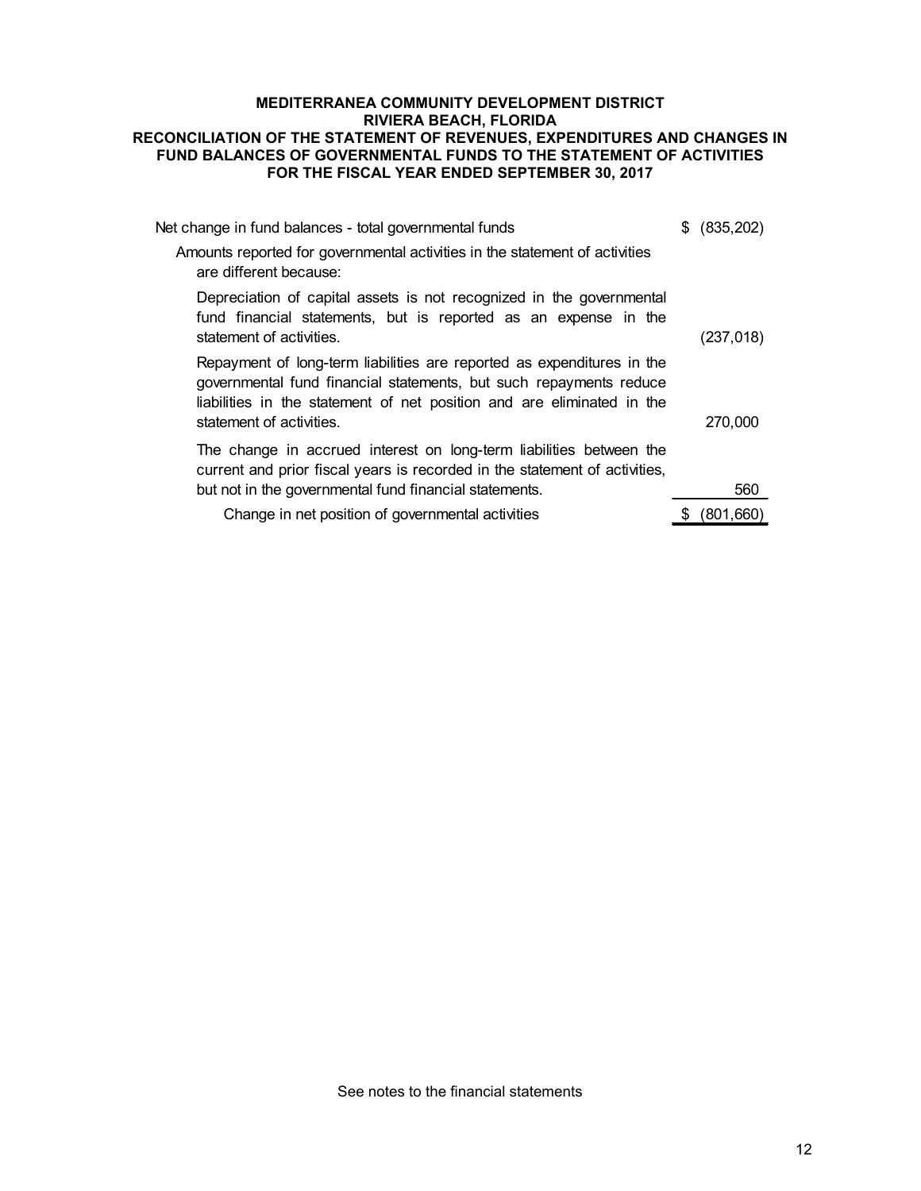# **MEDITERRANEA COMMUNITY DEVELOPMENT DISTRICT RIVIERA BEACH, FLORIDA RECONCILIATION OF THE STATEMENT OF REVENUES, EXPENDITURES AND CHANGES IN FUND BALANCES OF GOVERNMENTAL FUNDS TO THE STATEMENT OF ACTIVITIES FOR THE FISCAL YEAR ENDED SEPTEMBER 30, 2017**

| Net change in fund balances - total governmental funds                                                                                                                                                                                             | \$<br>(835, 202) |
|----------------------------------------------------------------------------------------------------------------------------------------------------------------------------------------------------------------------------------------------------|------------------|
| Amounts reported for governmental activities in the statement of activities<br>are different because:                                                                                                                                              |                  |
| Depreciation of capital assets is not recognized in the governmental<br>fund financial statements, but is reported as an expense in the<br>statement of activities.                                                                                | (237,018)        |
| Repayment of long-term liabilities are reported as expenditures in the<br>governmental fund financial statements, but such repayments reduce<br>liabilities in the statement of net position and are eliminated in the<br>statement of activities. | 270,000          |
| The change in accrued interest on long-term liabilities between the<br>current and prior fiscal years is recorded in the statement of activities,                                                                                                  |                  |
| but not in the governmental fund financial statements.                                                                                                                                                                                             | 560              |
| Change in net position of governmental activities                                                                                                                                                                                                  | (801,660)        |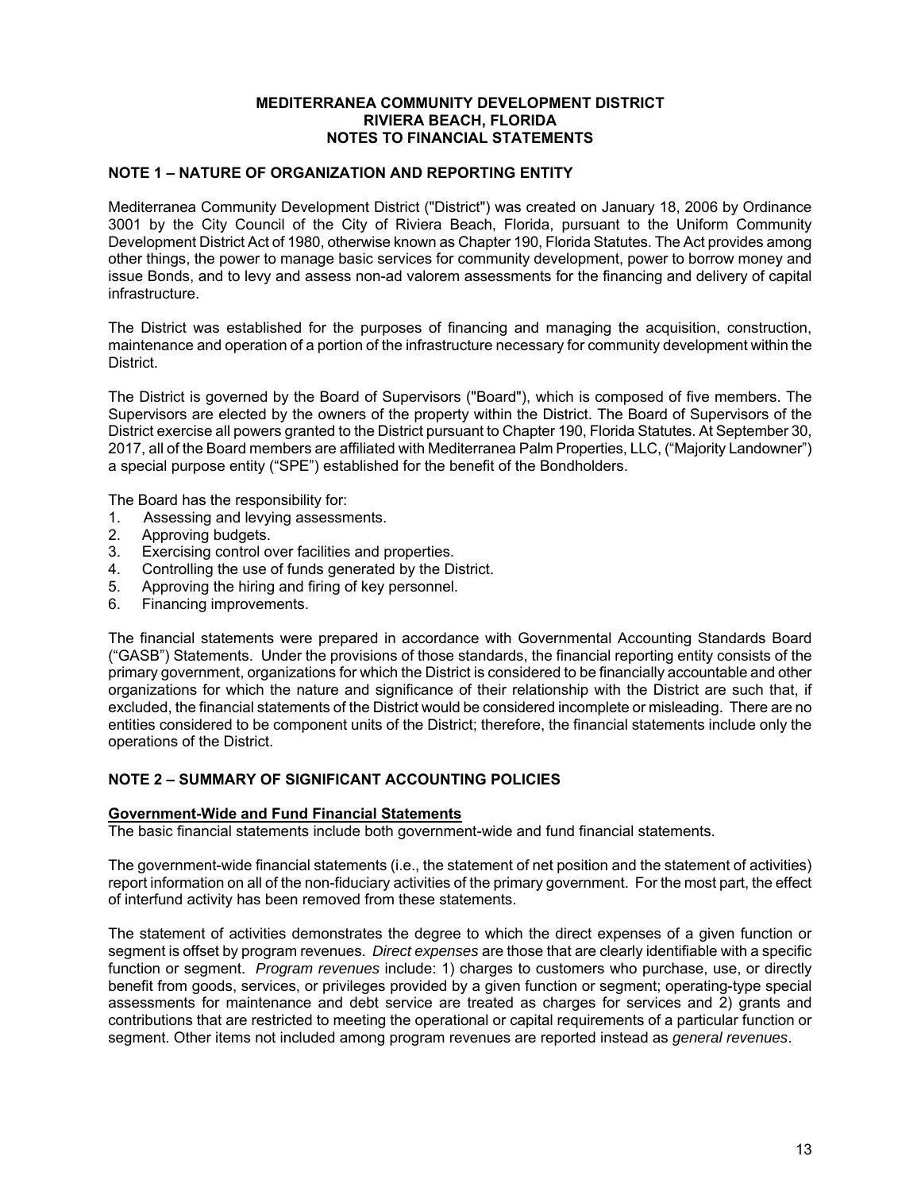# **MEDITERRANEA COMMUNITY DEVELOPMENT DISTRICT RIVIERA BEACH, FLORIDA NOTES TO FINANCIAL STATEMENTS**

# **NOTE 1 – NATURE OF ORGANIZATION AND REPORTING ENTITY**

Mediterranea Community Development District ("District") was created on January 18, 2006 by Ordinance 3001 by the City Council of the City of Riviera Beach, Florida, pursuant to the Uniform Community Development District Act of 1980, otherwise known as Chapter 190, Florida Statutes. The Act provides among other things, the power to manage basic services for community development, power to borrow money and issue Bonds, and to levy and assess non-ad valorem assessments for the financing and delivery of capital infrastructure.

The District was established for the purposes of financing and managing the acquisition, construction, maintenance and operation of a portion of the infrastructure necessary for community development within the District.

The District is governed by the Board of Supervisors ("Board"), which is composed of five members. The Supervisors are elected by the owners of the property within the District. The Board of Supervisors of the District exercise all powers granted to the District pursuant to Chapter 190, Florida Statutes. At September 30, 2017, all of the Board members are affiliated with Mediterranea Palm Properties, LLC, ("Majority Landowner") a special purpose entity ("SPE") established for the benefit of the Bondholders.

The Board has the responsibility for:

- 1. Assessing and levying assessments.
- 2. Approving budgets.
- 3. Exercising control over facilities and properties.
- 4. Controlling the use of funds generated by the District.
- 5. Approving the hiring and firing of key personnel.
- 6. Financing improvements.

The financial statements were prepared in accordance with Governmental Accounting Standards Board ("GASB") Statements. Under the provisions of those standards, the financial reporting entity consists of the primary government, organizations for which the District is considered to be financially accountable and other organizations for which the nature and significance of their relationship with the District are such that, if excluded, the financial statements of the District would be considered incomplete or misleading. There are no entities considered to be component units of the District; therefore, the financial statements include only the operations of the District.

# **NOTE 2 – SUMMARY OF SIGNIFICANT ACCOUNTING POLICIES**

## **Government-Wide and Fund Financial Statements**

The basic financial statements include both government-wide and fund financial statements.

The government-wide financial statements (i.e., the statement of net position and the statement of activities) report information on all of the non-fiduciary activities of the primary government. For the most part, the effect of interfund activity has been removed from these statements.

The statement of activities demonstrates the degree to which the direct expenses of a given function or segment is offset by program revenues. *Direct expenses* are those that are clearly identifiable with a specific function or segment. *Program revenues* include: 1) charges to customers who purchase, use, or directly benefit from goods, services, or privileges provided by a given function or segment; operating-type special assessments for maintenance and debt service are treated as charges for services and 2) grants and contributions that are restricted to meeting the operational or capital requirements of a particular function or segment. Other items not included among program revenues are reported instead as *general revenues*.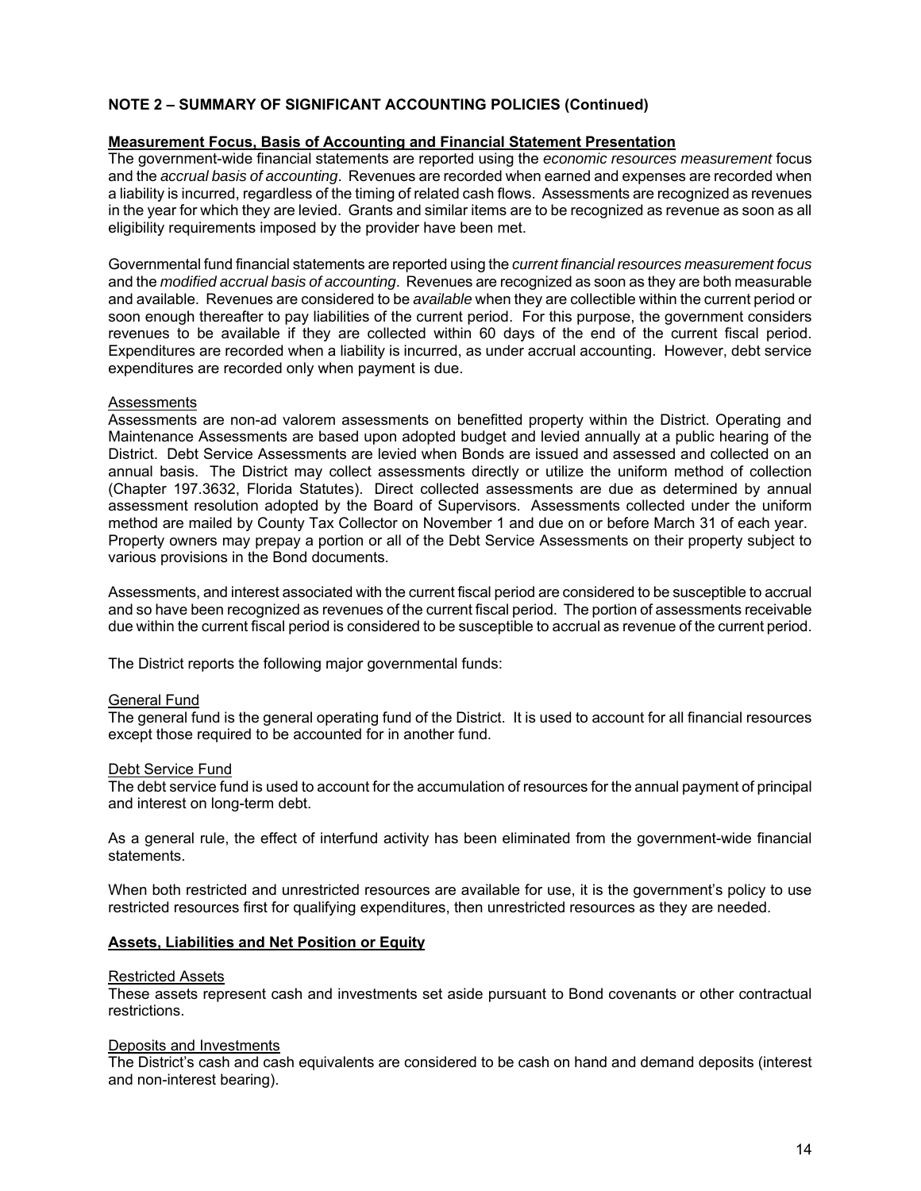# **Measurement Focus, Basis of Accounting and Financial Statement Presentation**

The government-wide financial statements are reported using the *economic resources measurement* focus and the *accrual basis of accounting*. Revenues are recorded when earned and expenses are recorded when a liability is incurred, regardless of the timing of related cash flows. Assessments are recognized as revenues in the year for which they are levied. Grants and similar items are to be recognized as revenue as soon as all eligibility requirements imposed by the provider have been met.

Governmental fund financial statements are reported using the *current financial resources measurement focus* and the *modified accrual basis of accounting*. Revenues are recognized as soon as they are both measurable and available. Revenues are considered to be *available* when they are collectible within the current period or soon enough thereafter to pay liabilities of the current period. For this purpose, the government considers revenues to be available if they are collected within 60 days of the end of the current fiscal period. Expenditures are recorded when a liability is incurred, as under accrual accounting. However, debt service expenditures are recorded only when payment is due.

#### Assessments

Assessments are non-ad valorem assessments on benefitted property within the District. Operating and Maintenance Assessments are based upon adopted budget and levied annually at a public hearing of the District. Debt Service Assessments are levied when Bonds are issued and assessed and collected on an annual basis. The District may collect assessments directly or utilize the uniform method of collection (Chapter 197.3632, Florida Statutes). Direct collected assessments are due as determined by annual assessment resolution adopted by the Board of Supervisors. Assessments collected under the uniform method are mailed by County Tax Collector on November 1 and due on or before March 31 of each year. Property owners may prepay a portion or all of the Debt Service Assessments on their property subject to various provisions in the Bond documents.

Assessments, and interest associated with the current fiscal period are considered to be susceptible to accrual and so have been recognized as revenues of the current fiscal period. The portion of assessments receivable due within the current fiscal period is considered to be susceptible to accrual as revenue of the current period.

The District reports the following major governmental funds:

## General Fund

The general fund is the general operating fund of the District. It is used to account for all financial resources except those required to be accounted for in another fund.

## Debt Service Fund

The debt service fund is used to account for the accumulation of resources for the annual payment of principal and interest on long-term debt.

As a general rule, the effect of interfund activity has been eliminated from the government-wide financial statements.

When both restricted and unrestricted resources are available for use, it is the government's policy to use restricted resources first for qualifying expenditures, then unrestricted resources as they are needed.

# **Assets, Liabilities and Net Position or Equity**

#### Restricted Assets

These assets represent cash and investments set aside pursuant to Bond covenants or other contractual restrictions.

#### Deposits and Investments

The District's cash and cash equivalents are considered to be cash on hand and demand deposits (interest and non-interest bearing).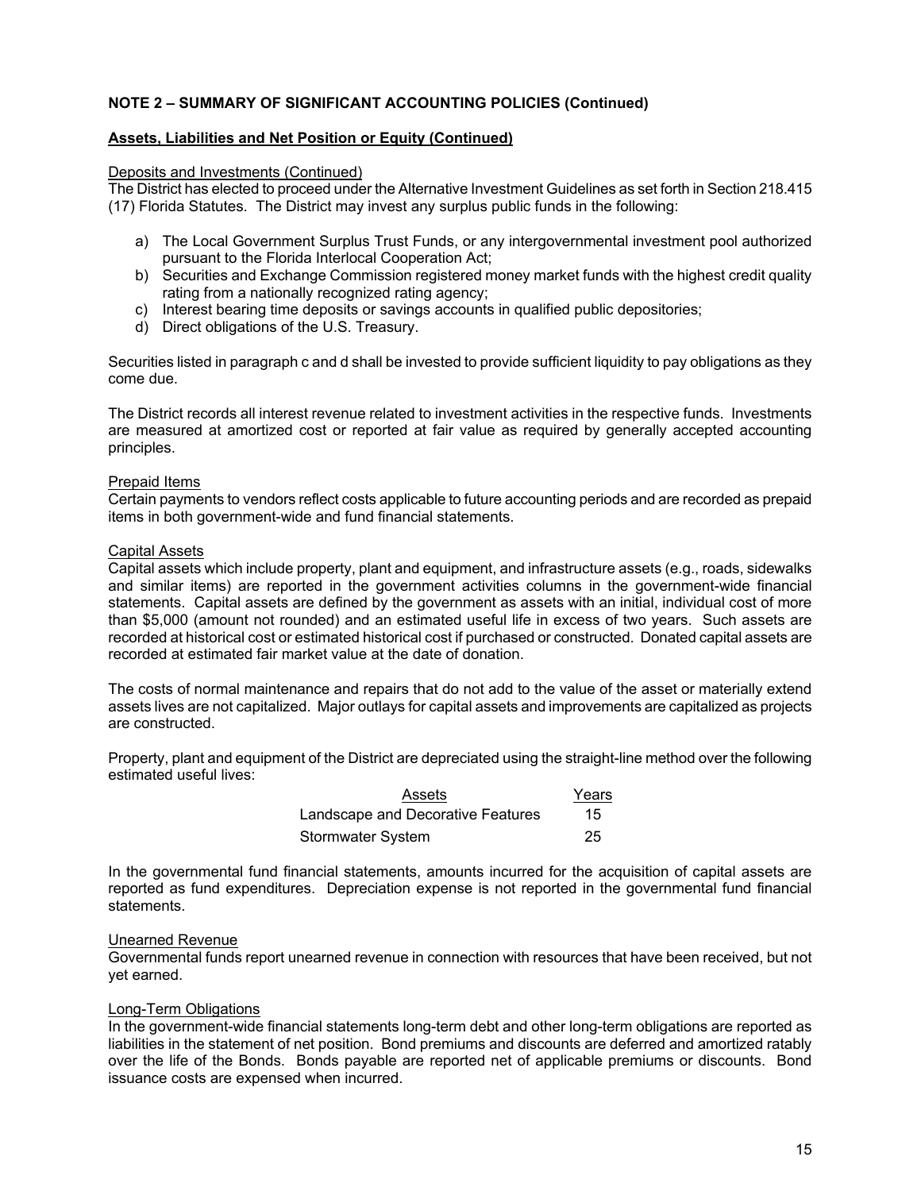## **Assets, Liabilities and Net Position or Equity (Continued)**

#### Deposits and Investments (Continued)

The District has elected to proceed under the Alternative Investment Guidelines as set forth in Section 218.415 (17) Florida Statutes. The District may invest any surplus public funds in the following:

- a) The Local Government Surplus Trust Funds, or any intergovernmental investment pool authorized pursuant to the Florida Interlocal Cooperation Act;
- b) Securities and Exchange Commission registered money market funds with the highest credit quality rating from a nationally recognized rating agency;
- c) Interest bearing time deposits or savings accounts in qualified public depositories;
- d) Direct obligations of the U.S. Treasury.

Securities listed in paragraph c and d shall be invested to provide sufficient liquidity to pay obligations as they come due.

The District records all interest revenue related to investment activities in the respective funds. Investments are measured at amortized cost or reported at fair value as required by generally accepted accounting principles.

#### Prepaid Items

Certain payments to vendors reflect costs applicable to future accounting periods and are recorded as prepaid items in both government-wide and fund financial statements.

#### Capital Assets

Capital assets which include property, plant and equipment, and infrastructure assets (e.g., roads, sidewalks and similar items) are reported in the government activities columns in the government-wide financial statements. Capital assets are defined by the government as assets with an initial, individual cost of more than \$5,000 (amount not rounded) and an estimated useful life in excess of two years. Such assets are recorded at historical cost or estimated historical cost if purchased or constructed. Donated capital assets are recorded at estimated fair market value at the date of donation.

The costs of normal maintenance and repairs that do not add to the value of the asset or materially extend assets lives are not capitalized. Major outlays for capital assets and improvements are capitalized as projects are constructed.

Property, plant and equipment of the District are depreciated using the straight-line method over the following estimated useful lives:

| Assets                            | Years |
|-----------------------------------|-------|
| Landscape and Decorative Features | 15    |
| <b>Stormwater System</b>          | 25    |

In the governmental fund financial statements, amounts incurred for the acquisition of capital assets are reported as fund expenditures. Depreciation expense is not reported in the governmental fund financial statements.

#### Unearned Revenue

Governmental funds report unearned revenue in connection with resources that have been received, but not yet earned.

#### Long-Term Obligations

In the government-wide financial statements long-term debt and other long-term obligations are reported as liabilities in the statement of net position. Bond premiums and discounts are deferred and amortized ratably over the life of the Bonds. Bonds payable are reported net of applicable premiums or discounts. Bond issuance costs are expensed when incurred.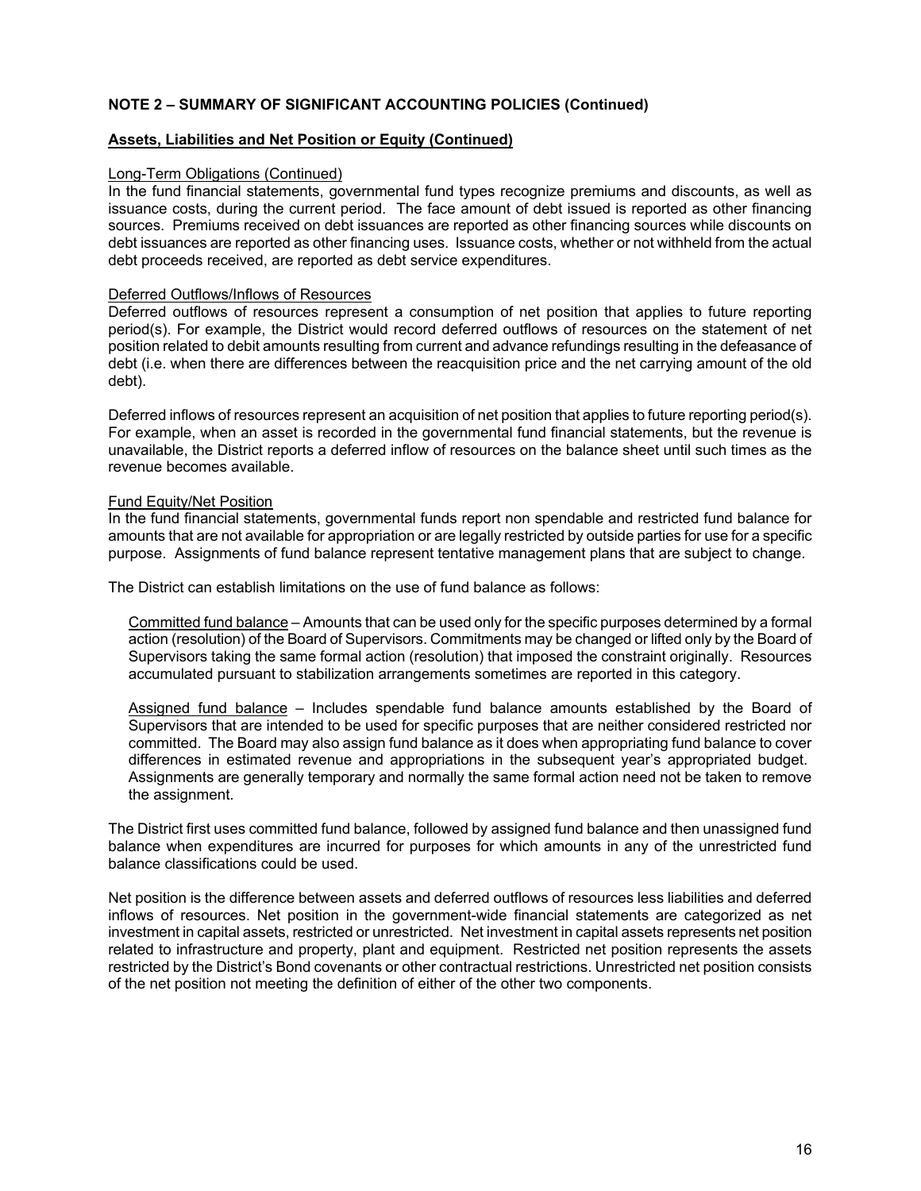# **Assets, Liabilities and Net Position or Equity (Continued)**

#### Long-Term Obligations (Continued)

In the fund financial statements, governmental fund types recognize premiums and discounts, as well as issuance costs, during the current period. The face amount of debt issued is reported as other financing sources. Premiums received on debt issuances are reported as other financing sources while discounts on debt issuances are reported as other financing uses. Issuance costs, whether or not withheld from the actual debt proceeds received, are reported as debt service expenditures.

## Deferred Outflows/Inflows of Resources

Deferred outflows of resources represent a consumption of net position that applies to future reporting period(s). For example, the District would record deferred outflows of resources on the statement of net position related to debit amounts resulting from current and advance refundings resulting in the defeasance of debt (i.e. when there are differences between the reacquisition price and the net carrying amount of the old debt).

Deferred inflows of resources represent an acquisition of net position that applies to future reporting period(s). For example, when an asset is recorded in the governmental fund financial statements, but the revenue is unavailable, the District reports a deferred inflow of resources on the balance sheet until such times as the revenue becomes available.

## Fund Equity/Net Position

In the fund financial statements, governmental funds report non spendable and restricted fund balance for amounts that are not available for appropriation or are legally restricted by outside parties for use for a specific purpose. Assignments of fund balance represent tentative management plans that are subject to change.

The District can establish limitations on the use of fund balance as follows:

Committed fund balance – Amounts that can be used only for the specific purposes determined by a formal action (resolution) of the Board of Supervisors. Commitments may be changed or lifted only by the Board of Supervisors taking the same formal action (resolution) that imposed the constraint originally. Resources accumulated pursuant to stabilization arrangements sometimes are reported in this category.

Assigned fund balance – Includes spendable fund balance amounts established by the Board of Supervisors that are intended to be used for specific purposes that are neither considered restricted nor committed. The Board may also assign fund balance as it does when appropriating fund balance to cover differences in estimated revenue and appropriations in the subsequent year's appropriated budget. Assignments are generally temporary and normally the same formal action need not be taken to remove the assignment.

The District first uses committed fund balance, followed by assigned fund balance and then unassigned fund balance when expenditures are incurred for purposes for which amounts in any of the unrestricted fund balance classifications could be used.

Net position is the difference between assets and deferred outflows of resources less liabilities and deferred inflows of resources. Net position in the government-wide financial statements are categorized as net investment in capital assets, restricted or unrestricted. Net investment in capital assets represents net position related to infrastructure and property, plant and equipment. Restricted net position represents the assets restricted by the District's Bond covenants or other contractual restrictions. Unrestricted net position consists of the net position not meeting the definition of either of the other two components.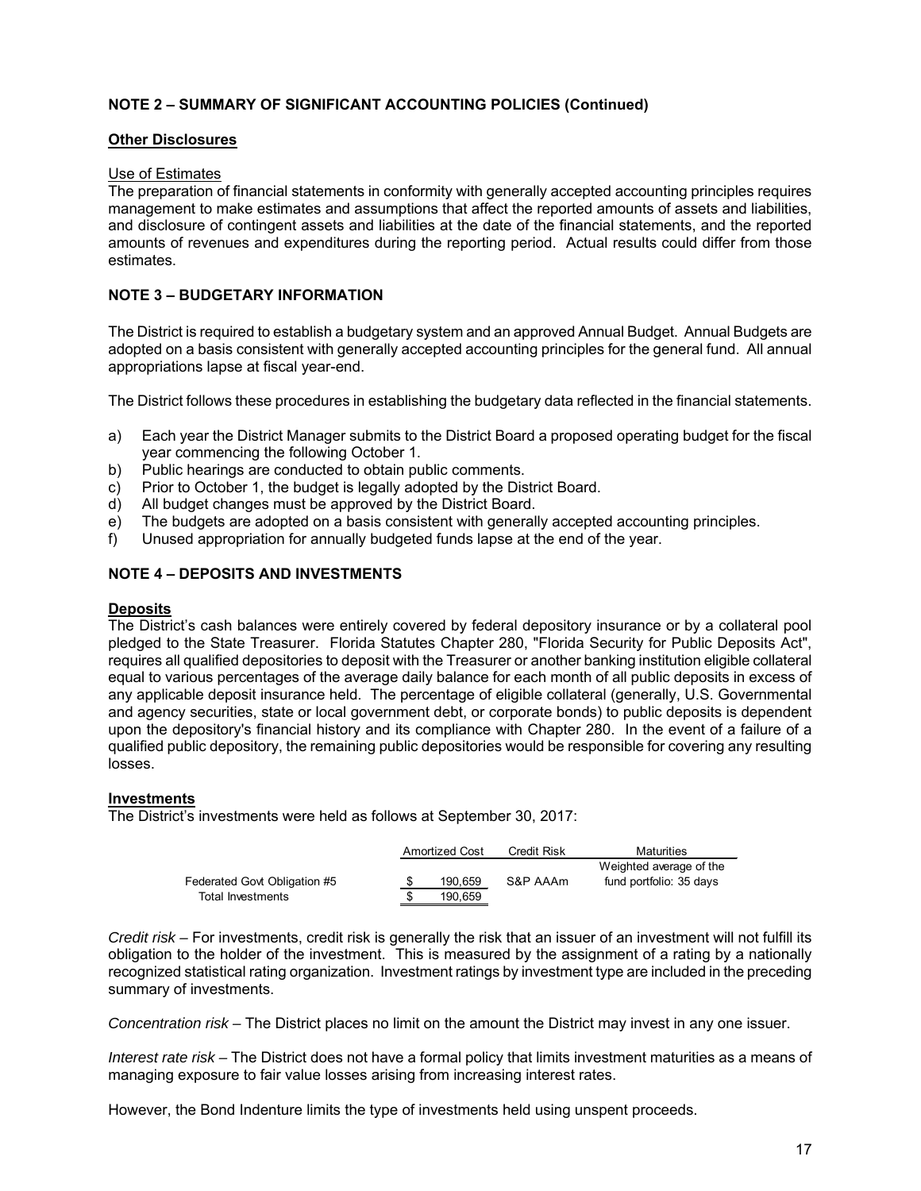# **Other Disclosures**

## Use of Estimates

The preparation of financial statements in conformity with generally accepted accounting principles requires management to make estimates and assumptions that affect the reported amounts of assets and liabilities, and disclosure of contingent assets and liabilities at the date of the financial statements, and the reported amounts of revenues and expenditures during the reporting period. Actual results could differ from those estimates.

# **NOTE 3 – BUDGETARY INFORMATION**

The District is required to establish a budgetary system and an approved Annual Budget. Annual Budgets are adopted on a basis consistent with generally accepted accounting principles for the general fund. All annual appropriations lapse at fiscal year-end.

The District follows these procedures in establishing the budgetary data reflected in the financial statements.

- a) Each year the District Manager submits to the District Board a proposed operating budget for the fiscal year commencing the following October 1.
- b) Public hearings are conducted to obtain public comments.
- c) Prior to October 1, the budget is legally adopted by the District Board.
- d) All budget changes must be approved by the District Board.
- e) The budgets are adopted on a basis consistent with generally accepted accounting principles.
- f) Unused appropriation for annually budgeted funds lapse at the end of the year.

# **NOTE 4 – DEPOSITS AND INVESTMENTS**

## **Deposits**

The District's cash balances were entirely covered by federal depository insurance or by a collateral pool pledged to the State Treasurer. Florida Statutes Chapter 280, "Florida Security for Public Deposits Act", requires all qualified depositories to deposit with the Treasurer or another banking institution eligible collateral equal to various percentages of the average daily balance for each month of all public deposits in excess of any applicable deposit insurance held. The percentage of eligible collateral (generally, U.S. Governmental and agency securities, state or local government debt, or corporate bonds) to public deposits is dependent upon the depository's financial history and its compliance with Chapter 280. In the event of a failure of a qualified public depository, the remaining public depositories would be responsible for covering any resulting losses.

#### **Investments**

The District's investments were held as follows at September 30, 2017:

|                              | <b>Amortized Cost</b> | Credit Risk | Maturities              |
|------------------------------|-----------------------|-------------|-------------------------|
|                              |                       |             | Weighted average of the |
| Federated Govt Obligation #5 | 190.659               | S&P AAAm    | fund portfolio: 35 days |
| Total Investments            | 190,659               |             |                         |

*Credit risk –* For investments, credit risk is generally the risk that an issuer of an investment will not fulfill its obligation to the holder of the investment. This is measured by the assignment of a rating by a nationally recognized statistical rating organization. Investment ratings by investment type are included in the preceding summary of investments.

*Concentration risk –* The District places no limit on the amount the District may invest in any one issuer.

*Interest rate risk –* The District does not have a formal policy that limits investment maturities as a means of managing exposure to fair value losses arising from increasing interest rates.

However, the Bond Indenture limits the type of investments held using unspent proceeds.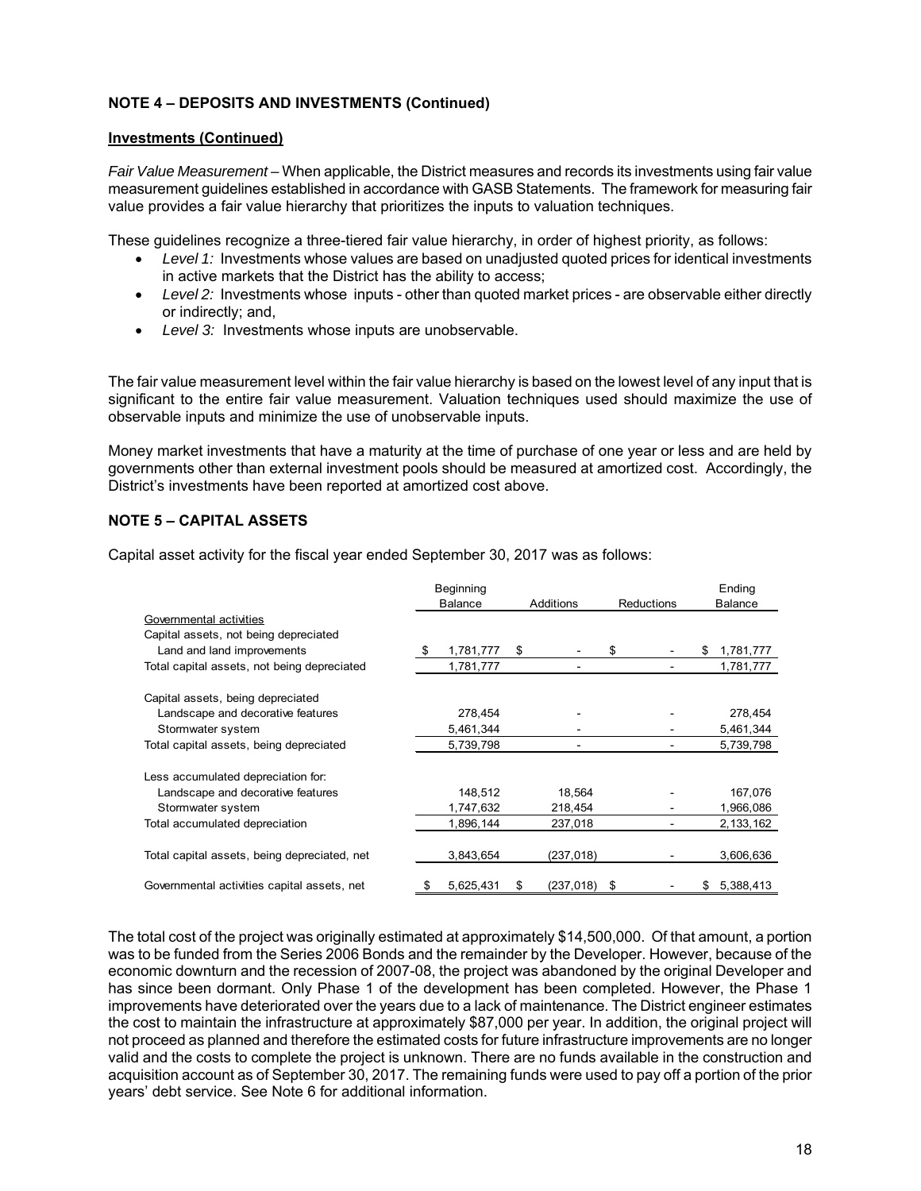# **NOTE 4 – DEPOSITS AND INVESTMENTS (Continued)**

# **Investments (Continued)**

*Fair Value Measurement –* When applicable, the District measures and records its investments using fair value measurement guidelines established in accordance with GASB Statements. The framework for measuring fair value provides a fair value hierarchy that prioritizes the inputs to valuation techniques.

These guidelines recognize a three-tiered fair value hierarchy, in order of highest priority, as follows:

- Level 1: Investments whose values are based on unadiusted quoted prices for identical investments in active markets that the District has the ability to access;
- Level 2: Investments whose inputs other than quoted market prices are observable either directly or indirectly; and,
- **•** *Level 3:* Investments whose inputs are unobservable.

The fair value measurement level within the fair value hierarchy is based on the lowest level of any input that is significant to the entire fair value measurement. Valuation techniques used should maximize the use of observable inputs and minimize the use of unobservable inputs.

Money market investments that have a maturity at the time of purchase of one year or less and are held by governments other than external investment pools should be measured at amortized cost. Accordingly, the District's investments have been reported at amortized cost above.

# **NOTE 5 – CAPITAL ASSETS**

|                                              | Beginning<br><b>Balance</b> |           |    |            | Ending |                   |    |                |
|----------------------------------------------|-----------------------------|-----------|----|------------|--------|-------------------|----|----------------|
|                                              |                             |           |    | Additions  |        | <b>Reductions</b> |    | <b>Balance</b> |
| Governmental activities                      |                             |           |    |            |        |                   |    |                |
| Capital assets, not being depreciated        |                             |           |    |            |        |                   |    |                |
| Land and land improvements                   |                             | 1,781,777 | \$ |            | \$     |                   | \$ | 1,781,777      |
| Total capital assets, not being depreciated  |                             | 1,781,777 |    |            |        |                   |    | 1,781,777      |
|                                              |                             |           |    |            |        |                   |    |                |
| Capital assets, being depreciated            |                             |           |    |            |        |                   |    |                |
| Landscape and decorative features            |                             | 278,454   |    |            |        |                   |    | 278,454        |
| Stormwater system                            |                             | 5,461,344 |    |            |        |                   |    | 5,461,344      |
| Total capital assets, being depreciated      |                             | 5,739,798 |    |            |        |                   |    | 5,739,798      |
| Less accumulated depreciation for:           |                             |           |    |            |        |                   |    |                |
| Landscape and decorative features            |                             | 148,512   |    | 18.564     |        |                   |    | 167,076        |
|                                              |                             |           |    |            |        |                   |    |                |
| Stormwater system                            |                             | 1,747,632 |    | 218,454    |        |                   |    | 1,966,086      |
| Total accumulated depreciation               |                             | 1,896,144 |    | 237,018    |        |                   |    | 2, 133, 162    |
| Total capital assets, being depreciated, net |                             | 3,843,654 |    | (237, 018) |        |                   |    | 3,606,636      |
| Governmental activities capital assets, net  |                             | 5,625,431 | \$ | (237, 018) | S      |                   | \$ | 5,388,413      |

Capital asset activity for the fiscal year ended September 30, 2017 was as follows:

The total cost of the project was originally estimated at approximately \$14,500,000. Of that amount, a portion was to be funded from the Series 2006 Bonds and the remainder by the Developer. However, because of the economic downturn and the recession of 2007-08, the project was abandoned by the original Developer and has since been dormant. Only Phase 1 of the development has been completed. However, the Phase 1 improvements have deteriorated over the years due to a lack of maintenance. The District engineer estimates the cost to maintain the infrastructure at approximately \$87,000 per year. In addition, the original project will not proceed as planned and therefore the estimated costs for future infrastructure improvements are no longer valid and the costs to complete the project is unknown. There are no funds available in the construction and acquisition account as of September 30, 2017. The remaining funds were used to pay off a portion of the prior years' debt service. See Note 6 for additional information.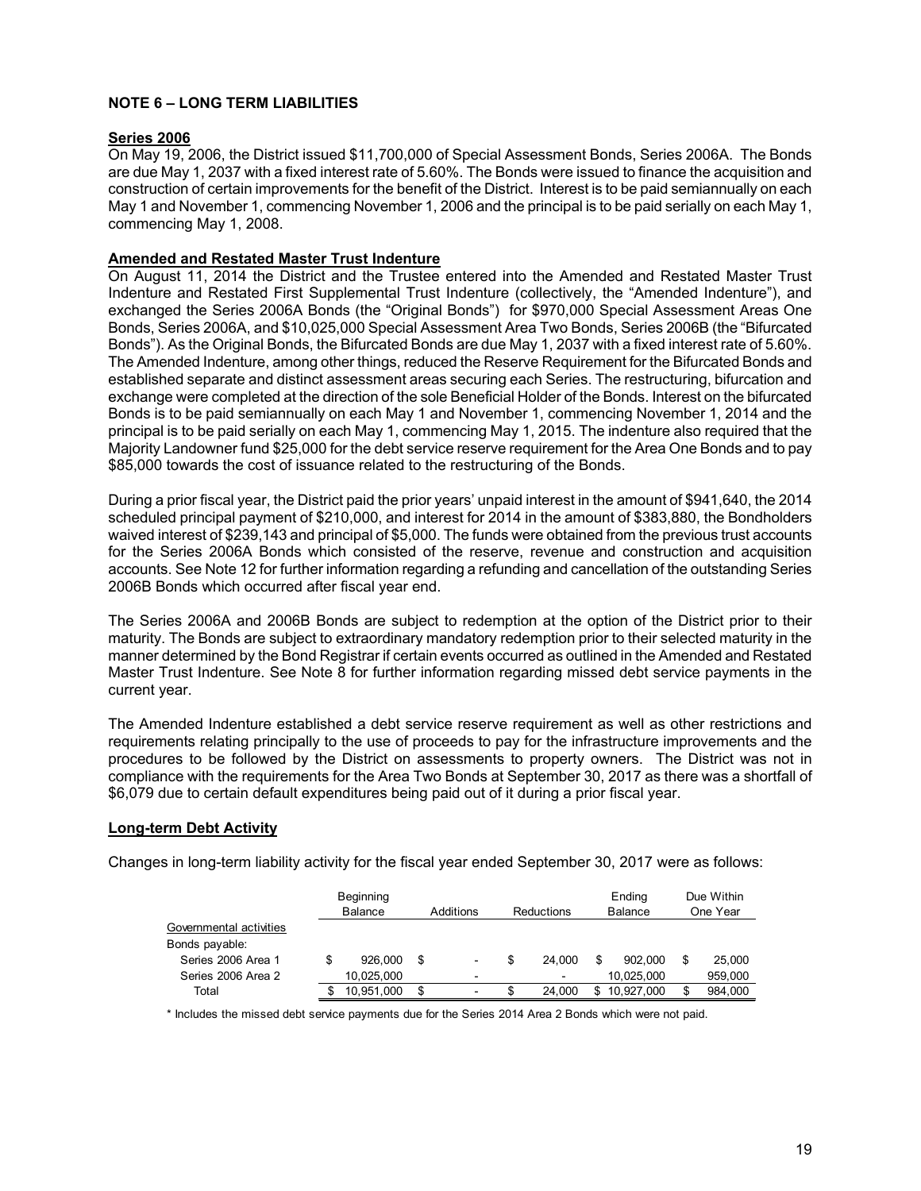# **NOTE 6 – LONG TERM LIABILITIES**

# **Series 2006**

On May 19, 2006, the District issued \$11,700,000 of Special Assessment Bonds, Series 2006A. The Bonds are due May 1, 2037 with a fixed interest rate of 5.60%. The Bonds were issued to finance the acquisition and construction of certain improvements for the benefit of the District. Interest is to be paid semiannually on each May 1 and November 1, commencing November 1, 2006 and the principal is to be paid serially on each May 1, commencing May 1, 2008.

# **Amended and Restated Master Trust Indenture**

On August 11, 2014 the District and the Trustee entered into the Amended and Restated Master Trust Indenture and Restated First Supplemental Trust Indenture (collectively, the "Amended Indenture"), and exchanged the Series 2006A Bonds (the "Original Bonds") for \$970,000 Special Assessment Areas One Bonds, Series 2006A, and \$10,025,000 Special Assessment Area Two Bonds, Series 2006B (the "Bifurcated Bonds"). As the Original Bonds, the Bifurcated Bonds are due May 1, 2037 with a fixed interest rate of 5.60%. The Amended Indenture, among other things, reduced the Reserve Requirement for the Bifurcated Bonds and established separate and distinct assessment areas securing each Series. The restructuring, bifurcation and exchange were completed at the direction of the sole Beneficial Holder of the Bonds. Interest on the bifurcated Bonds is to be paid semiannually on each May 1 and November 1, commencing November 1, 2014 and the principal is to be paid serially on each May 1, commencing May 1, 2015. The indenture also required that the Majority Landowner fund \$25,000 for the debt service reserve requirement for the Area One Bonds and to pay \$85,000 towards the cost of issuance related to the restructuring of the Bonds.

During a prior fiscal year, the District paid the prior years' unpaid interest in the amount of \$941,640, the 2014 scheduled principal payment of \$210,000, and interest for 2014 in the amount of \$383,880, the Bondholders waived interest of \$239,143 and principal of \$5,000. The funds were obtained from the previous trust accounts for the Series 2006A Bonds which consisted of the reserve, revenue and construction and acquisition accounts. See Note 12 for further information regarding a refunding and cancellation of the outstanding Series 2006B Bonds which occurred after fiscal year end.

The Series 2006A and 2006B Bonds are subject to redemption at the option of the District prior to their maturity. The Bonds are subject to extraordinary mandatory redemption prior to their selected maturity in the manner determined by the Bond Registrar if certain events occurred as outlined in the Amended and Restated Master Trust Indenture. See Note 8 for further information regarding missed debt service payments in the current year.

The Amended Indenture established a debt service reserve requirement as well as other restrictions and requirements relating principally to the use of proceeds to pay for the infrastructure improvements and the procedures to be followed by the District on assessments to property owners. The District was not in compliance with the requirements for the Area Two Bonds at September 30, 2017 as there was a shortfall of \$6,079 due to certain default expenditures being paid out of it during a prior fiscal year.

## **Long-term Debt Activity**

Changes in long-term liability activity for the fiscal year ended September 30, 2017 were as follows:

|                         | Beginning<br>Balance |     | Additions | Reductions |        | Ending<br>Balance |            | Due Within<br>One Year |         |
|-------------------------|----------------------|-----|-----------|------------|--------|-------------------|------------|------------------------|---------|
| Governmental activities |                      |     |           |            |        |                   |            |                        |         |
| Bonds payable:          |                      |     |           |            |        |                   |            |                        |         |
| Series 2006 Area 1      | 926.000              | \$. | ٠         | S          | 24.000 | S                 | 902.000    | \$.                    | 25,000  |
| Series 2006 Area 2      | 10,025,000           |     |           |            |        |                   | 10,025,000 |                        | 959,000 |
| Total                   | 10,951,000           | \$  |           | S          | 24.000 | S                 | 10.927.000 |                        | 984,000 |

\* Includes the missed debt service payments due for the Series 2014 Area 2 Bonds which were not paid.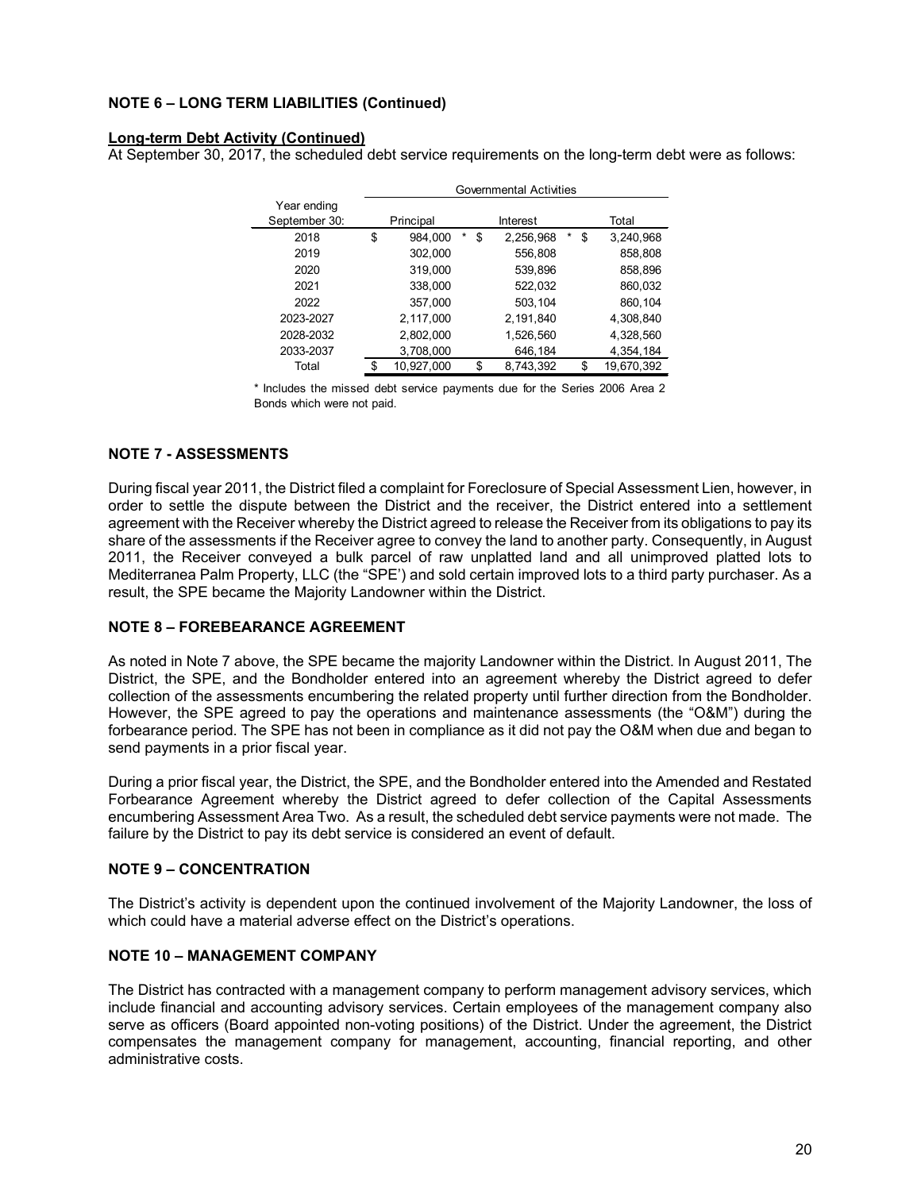# **NOTE 6 – LONG TERM LIABILITIES (Continued)**

## **Long-term Debt Activity (Continued)**

At September 30, 2017, the scheduled debt service requirements on the long-term debt were as follows:

|               | <b>Governmental Activities</b> |            |   |    |           |          |       |            |  |  |
|---------------|--------------------------------|------------|---|----|-----------|----------|-------|------------|--|--|
| Year ending   |                                |            |   |    |           |          |       |            |  |  |
| September 30: | Principal                      |            |   |    | Interest  |          | Total |            |  |  |
| 2018          | \$                             | 984,000    | * | \$ | 2,256,968 | $^\star$ | \$    | 3,240,968  |  |  |
| 2019          |                                | 302,000    |   |    | 556,808   |          |       | 858,808    |  |  |
| 2020          |                                | 319,000    |   |    | 539,896   |          |       | 858,896    |  |  |
| 2021          |                                | 338,000    |   |    | 522,032   |          |       | 860,032    |  |  |
| 2022          |                                | 357,000    |   |    | 503,104   |          |       | 860,104    |  |  |
| 2023-2027     |                                | 2,117,000  |   |    | 2,191,840 |          |       | 4,308,840  |  |  |
| 2028-2032     |                                | 2,802,000  |   |    | 1,526,560 |          |       | 4,328,560  |  |  |
| 2033-2037     |                                | 3,708,000  |   |    | 646,184   |          |       | 4,354,184  |  |  |
| Total         | \$                             | 10.927.000 |   | \$ | 8,743,392 |          | \$    | 19,670,392 |  |  |

\* Includes the missed debt service payments due for the Series 2006 Area 2 Bonds which were not paid.

# **NOTE 7 - ASSESSMENTS**

During fiscal year 2011, the District filed a complaint for Foreclosure of Special Assessment Lien, however, in order to settle the dispute between the District and the receiver, the District entered into a settlement agreement with the Receiver whereby the District agreed to release the Receiver from its obligations to pay its share of the assessments if the Receiver agree to convey the land to another party. Consequently, in August 2011, the Receiver conveyed a bulk parcel of raw unplatted land and all unimproved platted lots to Mediterranea Palm Property, LLC (the "SPE') and sold certain improved lots to a third party purchaser. As a result, the SPE became the Majority Landowner within the District.

# **NOTE 8 – FOREBEARANCE AGREEMENT**

As noted in Note 7 above, the SPE became the majority Landowner within the District. In August 2011, The District, the SPE, and the Bondholder entered into an agreement whereby the District agreed to defer collection of the assessments encumbering the related property until further direction from the Bondholder. However, the SPE agreed to pay the operations and maintenance assessments (the "O&M") during the forbearance period. The SPE has not been in compliance as it did not pay the O&M when due and began to send payments in a prior fiscal year.

During a prior fiscal year, the District, the SPE, and the Bondholder entered into the Amended and Restated Forbearance Agreement whereby the District agreed to defer collection of the Capital Assessments encumbering Assessment Area Two. As a result, the scheduled debt service payments were not made. The failure by the District to pay its debt service is considered an event of default.

# **NOTE 9 – CONCENTRATION**

The District's activity is dependent upon the continued involvement of the Majority Landowner, the loss of which could have a material adverse effect on the District's operations.

# **NOTE 10 – MANAGEMENT COMPANY**

The District has contracted with a management company to perform management advisory services, which include financial and accounting advisory services. Certain employees of the management company also serve as officers (Board appointed non-voting positions) of the District. Under the agreement, the District compensates the management company for management, accounting, financial reporting, and other administrative costs.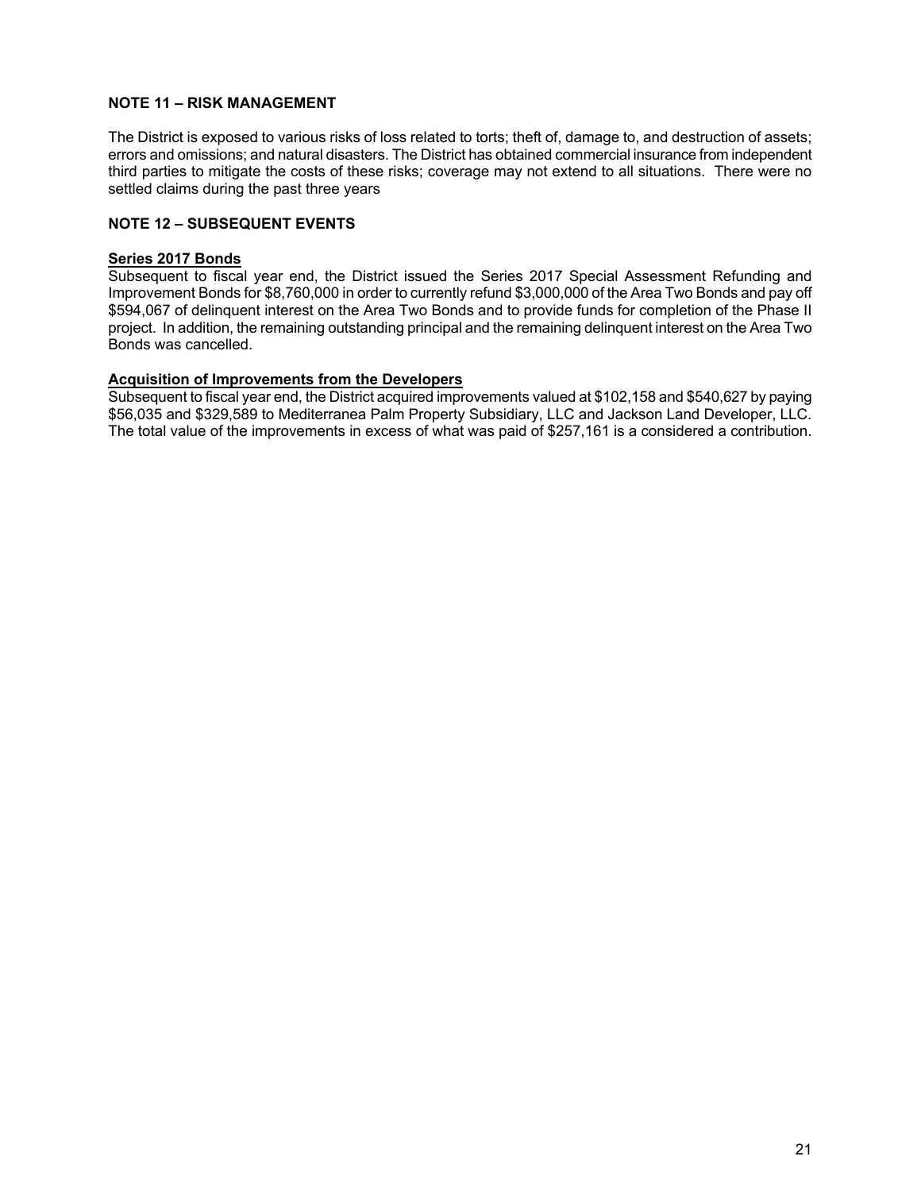# **NOTE 11 – RISK MANAGEMENT**

The District is exposed to various risks of loss related to torts; theft of, damage to, and destruction of assets; errors and omissions; and natural disasters. The District has obtained commercial insurance from independent third parties to mitigate the costs of these risks; coverage may not extend to all situations. There were no settled claims during the past three years

# **NOTE 12 – SUBSEQUENT EVENTS**

# **Series 2017 Bonds**

Subsequent to fiscal year end, the District issued the Series 2017 Special Assessment Refunding and Improvement Bonds for \$8,760,000 in order to currently refund \$3,000,000 of the Area Two Bonds and pay off \$594,067 of delinquent interest on the Area Two Bonds and to provide funds for completion of the Phase II project. In addition, the remaining outstanding principal and the remaining delinquent interest on the Area Two Bonds was cancelled.

# **Acquisition of Improvements from the Developers**

Subsequent to fiscal year end, the District acquired improvements valued at \$102,158 and \$540,627 by paying \$56,035 and \$329,589 to Mediterranea Palm Property Subsidiary, LLC and Jackson Land Developer, LLC. The total value of the improvements in excess of what was paid of \$257,161 is a considered a contribution.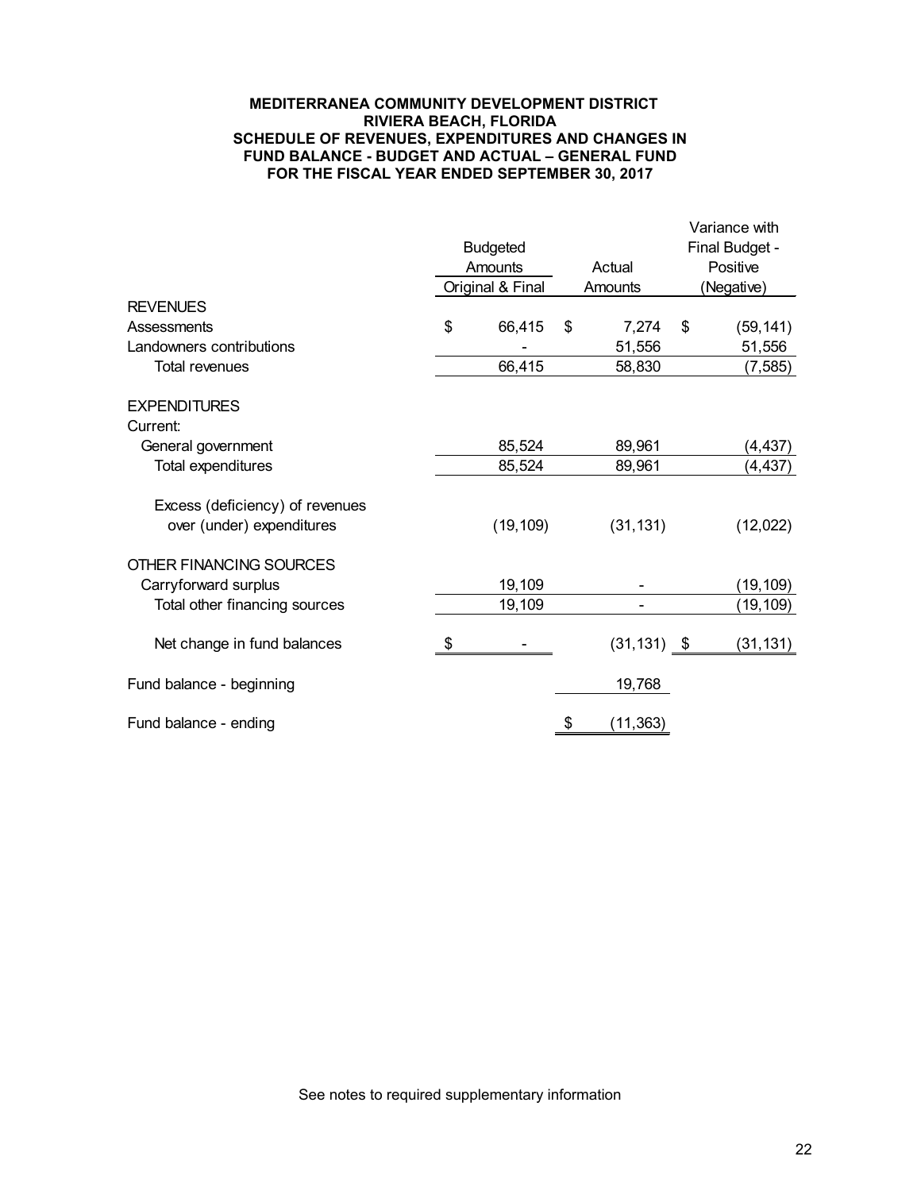# **MEDITERRANEA COMMUNITY DEVELOPMENT DISTRICT RIVIERA BEACH, FLORIDA SCHEDULE OF REVENUES, EXPENDITURES AND CHANGES IN FUND BALANCE - BUDGET AND ACTUAL – GENERAL FUND FOR THE FISCAL YEAR ENDED SEPTEMBER 30, 2017**

|                                 |                  |           |    |                |                | Variance with |  |
|---------------------------------|------------------|-----------|----|----------------|----------------|---------------|--|
|                                 | <b>Budgeted</b>  |           |    |                | Final Budget - |               |  |
|                                 | Amounts          |           |    | Actual         | Positive       |               |  |
|                                 | Original & Final |           |    | Amounts        | (Negative)     |               |  |
| <b>REVENUES</b>                 |                  |           |    |                |                |               |  |
| Assessments                     | \$               | 66,415    | \$ | 7,274          | \$             | (59, 141)     |  |
| Landowners contributions        |                  |           |    | 51,556         |                | 51,556        |  |
| <b>Total revenues</b>           |                  | 66,415    |    | 58,830         |                | (7, 585)      |  |
| <b>EXPENDITURES</b>             |                  |           |    |                |                |               |  |
| Current:                        |                  |           |    |                |                |               |  |
| General government              |                  | 85,524    |    | 89,961         |                | (4, 437)      |  |
| Total expenditures              |                  | 85,524    |    | 89,961         |                | (4, 437)      |  |
| Excess (deficiency) of revenues |                  |           |    |                |                |               |  |
| over (under) expenditures       |                  | (19, 109) |    | (31, 131)      |                | (12,022)      |  |
|                                 |                  |           |    |                |                |               |  |
| OTHER FINANCING SOURCES         |                  |           |    |                |                |               |  |
| Carryforward surplus            |                  | 19,109    |    |                |                | (19, 109)     |  |
| Total other financing sources   |                  | 19,109    |    |                |                | (19, 109)     |  |
| Net change in fund balances     | \$               |           |    | $(31, 131)$ \$ |                | (31,131)      |  |
| Fund balance - beginning        |                  |           |    | 19,768         |                |               |  |
| Fund balance - ending           |                  |           | \$ | (11, 363)      |                |               |  |

See notes to required supplementary information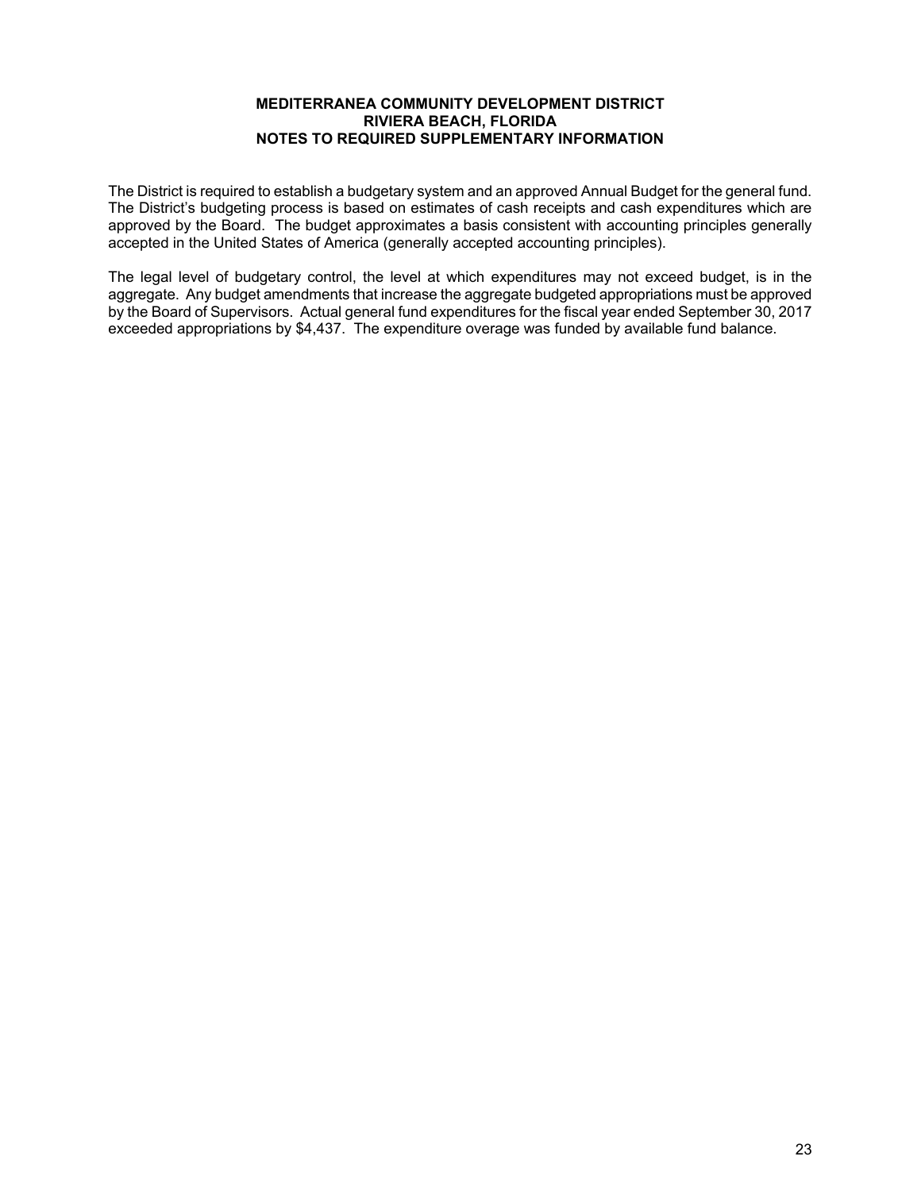# **MEDITERRANEA COMMUNITY DEVELOPMENT DISTRICT RIVIERA BEACH, FLORIDA NOTES TO REQUIRED SUPPLEMENTARY INFORMATION**

The District is required to establish a budgetary system and an approved Annual Budget for the general fund. The District's budgeting process is based on estimates of cash receipts and cash expenditures which are approved by the Board. The budget approximates a basis consistent with accounting principles generally accepted in the United States of America (generally accepted accounting principles).

The legal level of budgetary control, the level at which expenditures may not exceed budget, is in the aggregate. Any budget amendments that increase the aggregate budgeted appropriations must be approved by the Board of Supervisors. Actual general fund expenditures for the fiscal year ended September 30, 2017 exceeded appropriations by \$4,437. The expenditure overage was funded by available fund balance.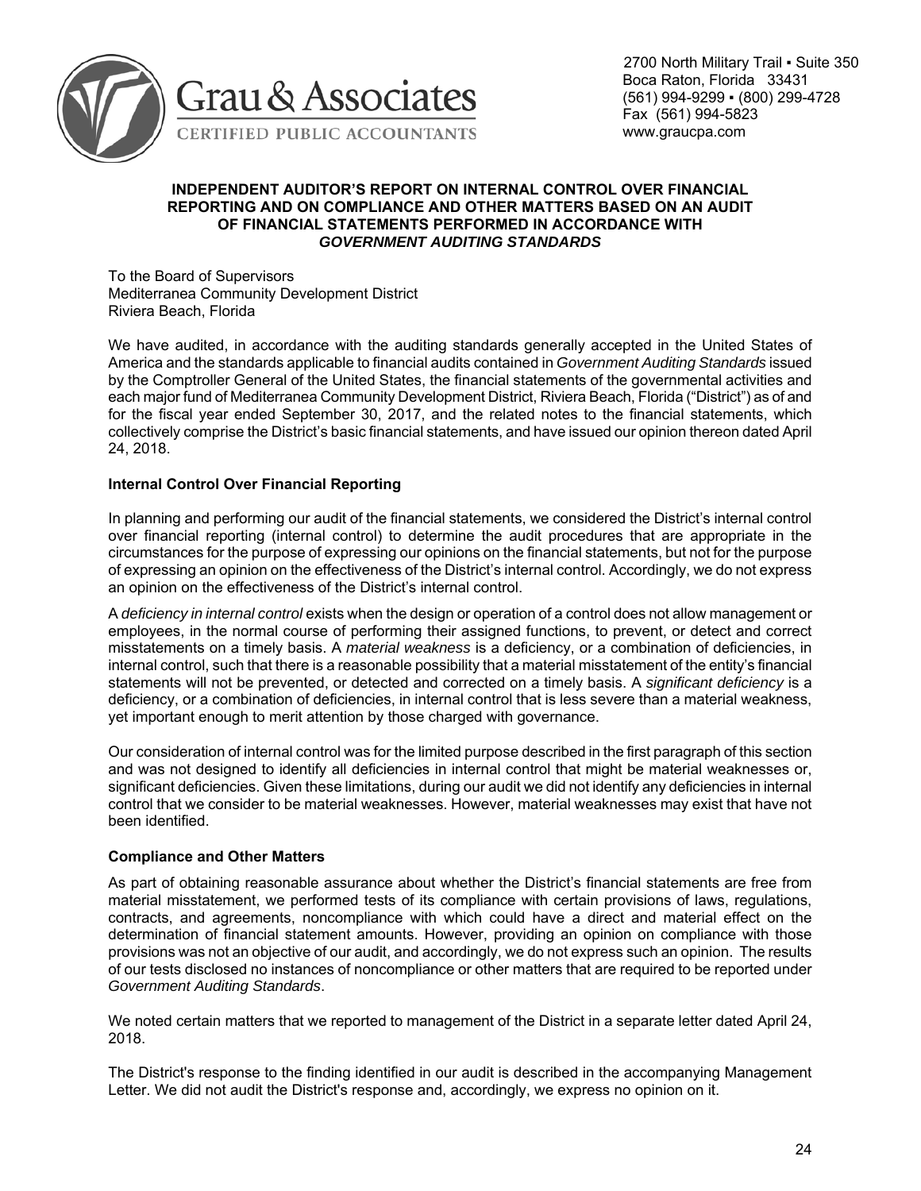

2700 North Military Trail - Suite 350 Boca Raton, Florida 33431 (561) 994-9299 - (800) 299-4728 Fax (561) 994-5823 www.graucpa.com

# **INDEPENDENT AUDITOR'S REPORT ON INTERNAL CONTROL OVER FINANCIAL REPORTING AND ON COMPLIANCE AND OTHER MATTERS BASED ON AN AUDIT OF FINANCIAL STATEMENTS PERFORMED IN ACCORDANCE WITH** *GOVERNMENT AUDITING STANDARDS*

To the Board of Supervisors Mediterranea Community Development District Riviera Beach, Florida

We have audited, in accordance with the auditing standards generally accepted in the United States of America and the standards applicable to financial audits contained in *Government Auditing Standards* issued by the Comptroller General of the United States, the financial statements of the governmental activities and each major fund of Mediterranea Community Development District, Riviera Beach, Florida ("District") as of and for the fiscal year ended September 30, 2017, and the related notes to the financial statements, which collectively comprise the District's basic financial statements, and have issued our opinion thereon dated April 24, 2018.

# **Internal Control Over Financial Reporting**

In planning and performing our audit of the financial statements, we considered the District's internal control over financial reporting (internal control) to determine the audit procedures that are appropriate in the circumstances for the purpose of expressing our opinions on the financial statements, but not for the purpose of expressing an opinion on the effectiveness of the District's internal control. Accordingly, we do not express an opinion on the effectiveness of the District's internal control.

A *deficiency in internal control* exists when the design or operation of a control does not allow management or employees, in the normal course of performing their assigned functions, to prevent, or detect and correct misstatements on a timely basis. A *material weakness* is a deficiency, or a combination of deficiencies, in internal control, such that there is a reasonable possibility that a material misstatement of the entity's financial statements will not be prevented, or detected and corrected on a timely basis. A *significant deficiency* is a deficiency, or a combination of deficiencies, in internal control that is less severe than a material weakness, yet important enough to merit attention by those charged with governance.

Our consideration of internal control was for the limited purpose described in the first paragraph of this section and was not designed to identify all deficiencies in internal control that might be material weaknesses or, significant deficiencies. Given these limitations, during our audit we did not identify any deficiencies in internal control that we consider to be material weaknesses. However, material weaknesses may exist that have not been identified.

## **Compliance and Other Matters**

As part of obtaining reasonable assurance about whether the District's financial statements are free from material misstatement, we performed tests of its compliance with certain provisions of laws, regulations, contracts, and agreements, noncompliance with which could have a direct and material effect on the determination of financial statement amounts. However, providing an opinion on compliance with those provisions was not an objective of our audit, and accordingly, we do not express such an opinion. The results of our tests disclosed no instances of noncompliance or other matters that are required to be reported under *Government Auditing Standards*.

We noted certain matters that we reported to management of the District in a separate letter dated April 24, 2018.

The District's response to the finding identified in our audit is described in the accompanying Management Letter. We did not audit the District's response and, accordingly, we express no opinion on it.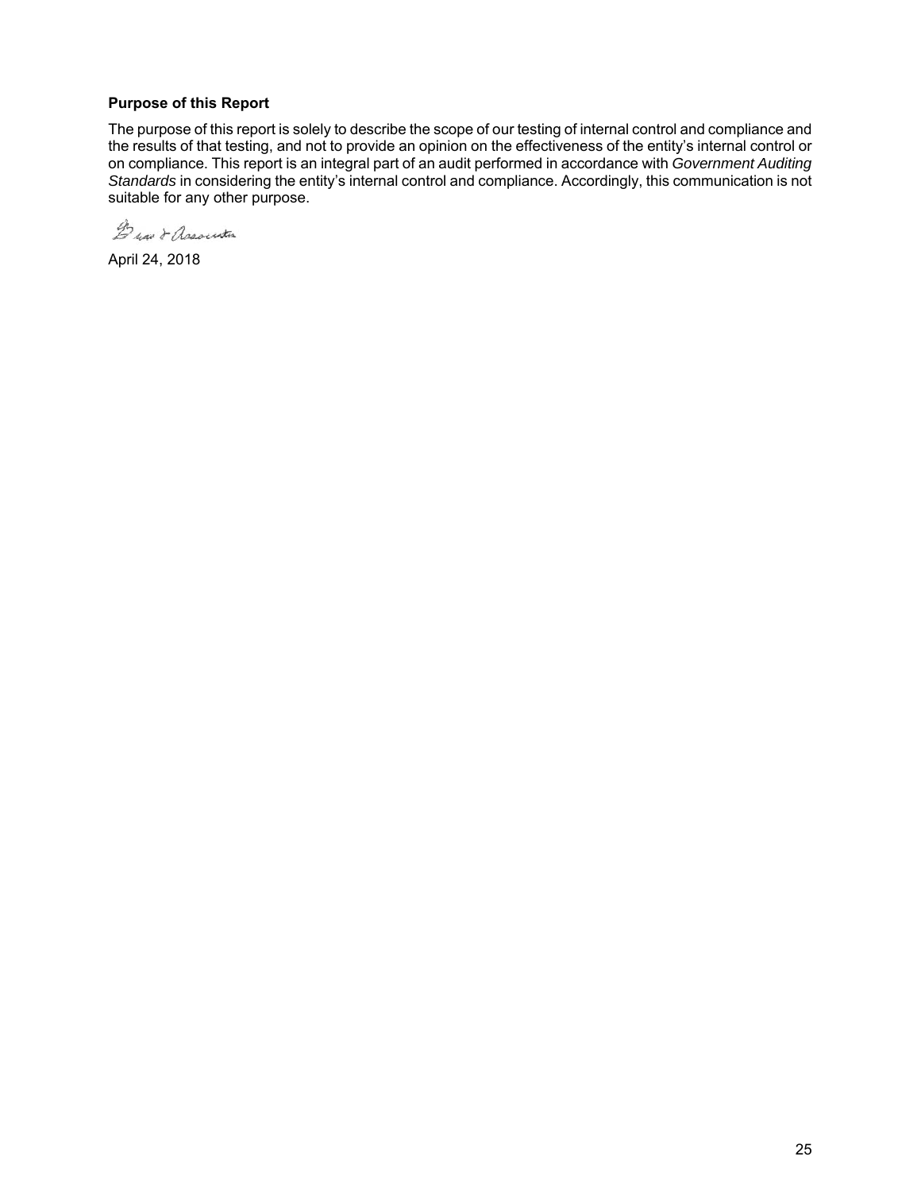# **Purpose of this Report**

The purpose of this report is solely to describe the scope of our testing of internal control and compliance and the results of that testing, and not to provide an opinion on the effectiveness of the entity's internal control or on compliance. This report is an integral part of an audit performed in accordance with *Government Auditing Standards* in considering the entity's internal control and compliance. Accordingly, this communication is not suitable for any other purpose.

Dear & Association

April 24, 2018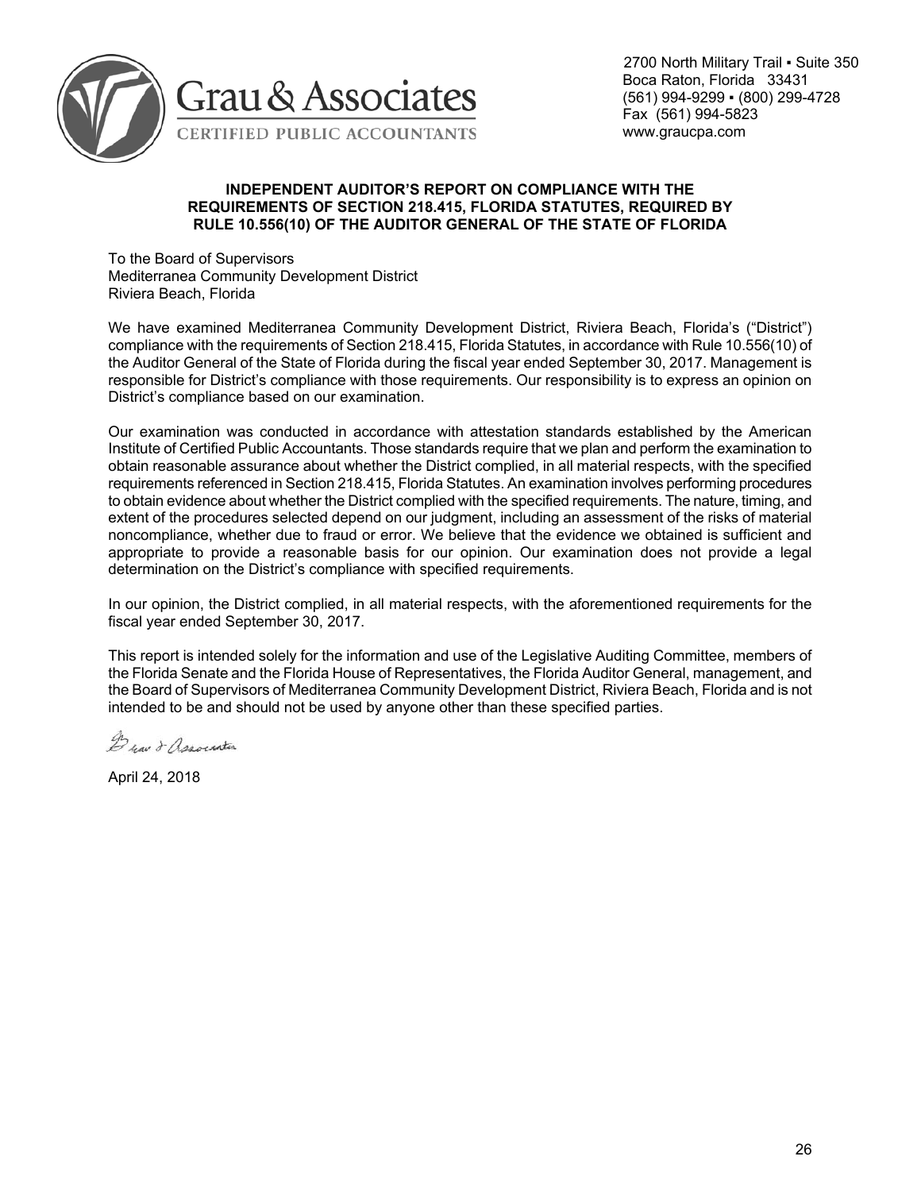

2700 North Military Trail - Suite 350 Boca Raton, Florida 33431 (561) 994-9299 - (800) 299-4728 Fax (561) 994-5823 www.graucpa.com

# **INDEPENDENT AUDITOR'S REPORT ON COMPLIANCE WITH THE REQUIREMENTS OF SECTION 218.415, FLORIDA STATUTES, REQUIRED BY RULE 10.556(10) OF THE AUDITOR GENERAL OF THE STATE OF FLORIDA**

To the Board of Supervisors Mediterranea Community Development District Riviera Beach, Florida

We have examined Mediterranea Community Development District, Riviera Beach, Florida's ("District") compliance with the requirements of Section 218.415, Florida Statutes, in accordance with Rule 10.556(10) of the Auditor General of the State of Florida during the fiscal year ended September 30, 2017. Management is responsible for District's compliance with those requirements. Our responsibility is to express an opinion on District's compliance based on our examination.

Our examination was conducted in accordance with attestation standards established by the American Institute of Certified Public Accountants. Those standards require that we plan and perform the examination to obtain reasonable assurance about whether the District complied, in all material respects, with the specified requirements referenced in Section 218.415, Florida Statutes. An examination involves performing procedures to obtain evidence about whether the District complied with the specified requirements. The nature, timing, and extent of the procedures selected depend on our judgment, including an assessment of the risks of material noncompliance, whether due to fraud or error. We believe that the evidence we obtained is sufficient and appropriate to provide a reasonable basis for our opinion. Our examination does not provide a legal determination on the District's compliance with specified requirements.

In our opinion, the District complied, in all material respects, with the aforementioned requirements for the fiscal year ended September 30, 2017.

This report is intended solely for the information and use of the Legislative Auditing Committee, members of the Florida Senate and the Florida House of Representatives, the Florida Auditor General, management, and the Board of Supervisors of Mediterranea Community Development District, Riviera Beach, Florida and is not intended to be and should not be used by anyone other than these specified parties.

Dear & Association

April 24, 2018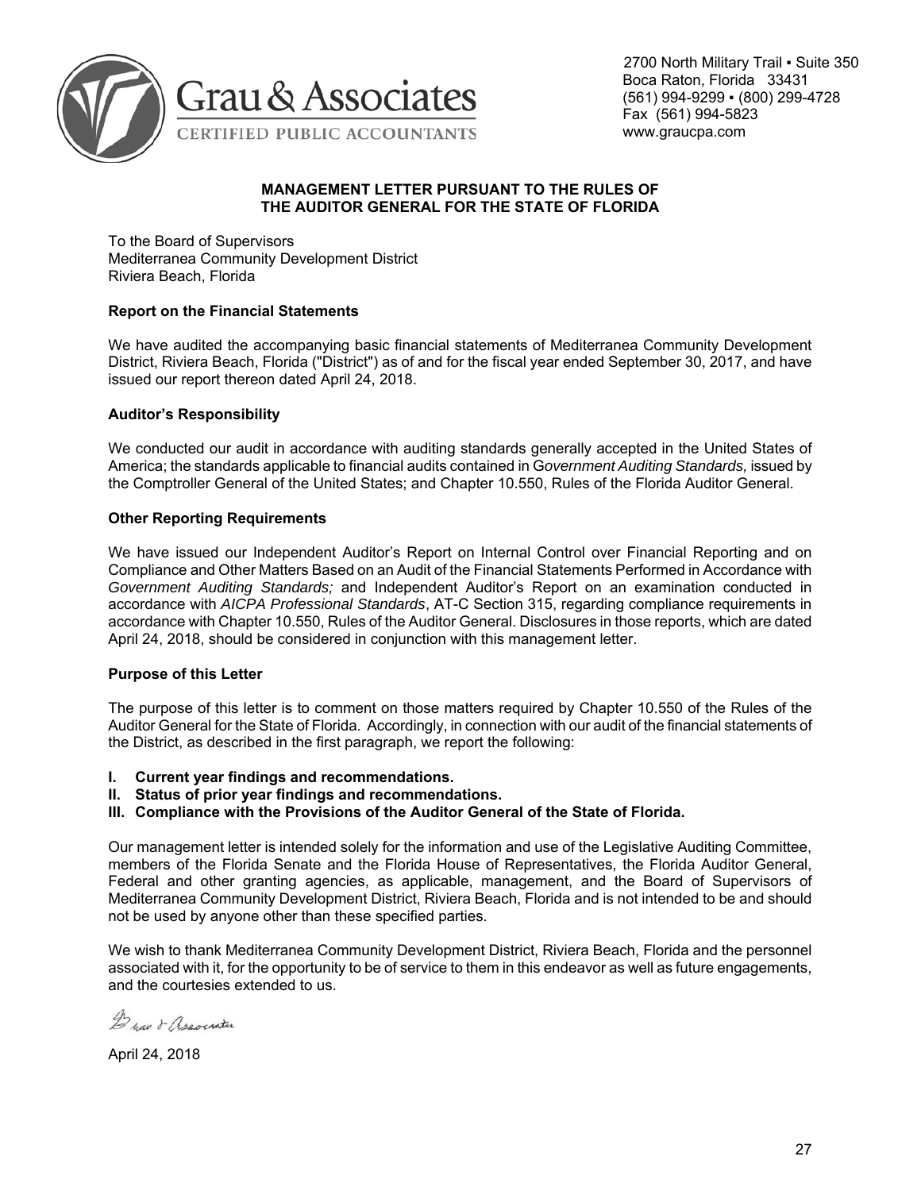

2700 North Military Trail - Suite 350 Boca Raton, Florida 33431 (561) 994-9299 - (800) 299-4728 Fax (561) 994-5823 www.graucpa.com

# **MANAGEMENT LETTER PURSUANT TO THE RULES OF THE AUDITOR GENERAL FOR THE STATE OF FLORIDA**

To the Board of Supervisors Mediterranea Community Development District Riviera Beach, Florida

# **Report on the Financial Statements**

We have audited the accompanying basic financial statements of Mediterranea Community Development District, Riviera Beach, Florida ("District") as of and for the fiscal year ended September 30, 2017, and have issued our report thereon dated April 24, 2018.

# **Auditor's Responsibility**

We conducted our audit in accordance with auditing standards generally accepted in the United States of America; the standards applicable to financial audits contained in G*overnment Auditing Standards,* issued by the Comptroller General of the United States; and Chapter 10.550, Rules of the Florida Auditor General.

# **Other Reporting Requirements**

We have issued our Independent Auditor's Report on Internal Control over Financial Reporting and on Compliance and Other Matters Based on an Audit of the Financial Statements Performed in Accordance with *Government Auditing Standards;* and Independent Auditor's Report on an examination conducted in accordance with *AICPA Professional Standards*, AT-C Section 315, regarding compliance requirements in accordance with Chapter 10.550, Rules of the Auditor General. Disclosures in those reports, which are dated April 24, 2018, should be considered in conjunction with this management letter.

## **Purpose of this Letter**

The purpose of this letter is to comment on those matters required by Chapter 10.550 of the Rules of the Auditor General for the State of Florida. Accordingly, in connection with our audit of the financial statements of the District, as described in the first paragraph, we report the following:

## **I. Current year findings and recommendations.**

- **II. Status of prior year findings and recommendations.**
- **III. Compliance with the Provisions of the Auditor General of the State of Florida.**

Our management letter is intended solely for the information and use of the Legislative Auditing Committee, members of the Florida Senate and the Florida House of Representatives, the Florida Auditor General, Federal and other granting agencies, as applicable, management, and the Board of Supervisors of Mediterranea Community Development District, Riviera Beach, Florida and is not intended to be and should not be used by anyone other than these specified parties.

We wish to thank Mediterranea Community Development District, Riviera Beach, Florida and the personnel associated with it, for the opportunity to be of service to them in this endeavor as well as future engagements, and the courtesies extended to us.

Dear & Association

April 24, 2018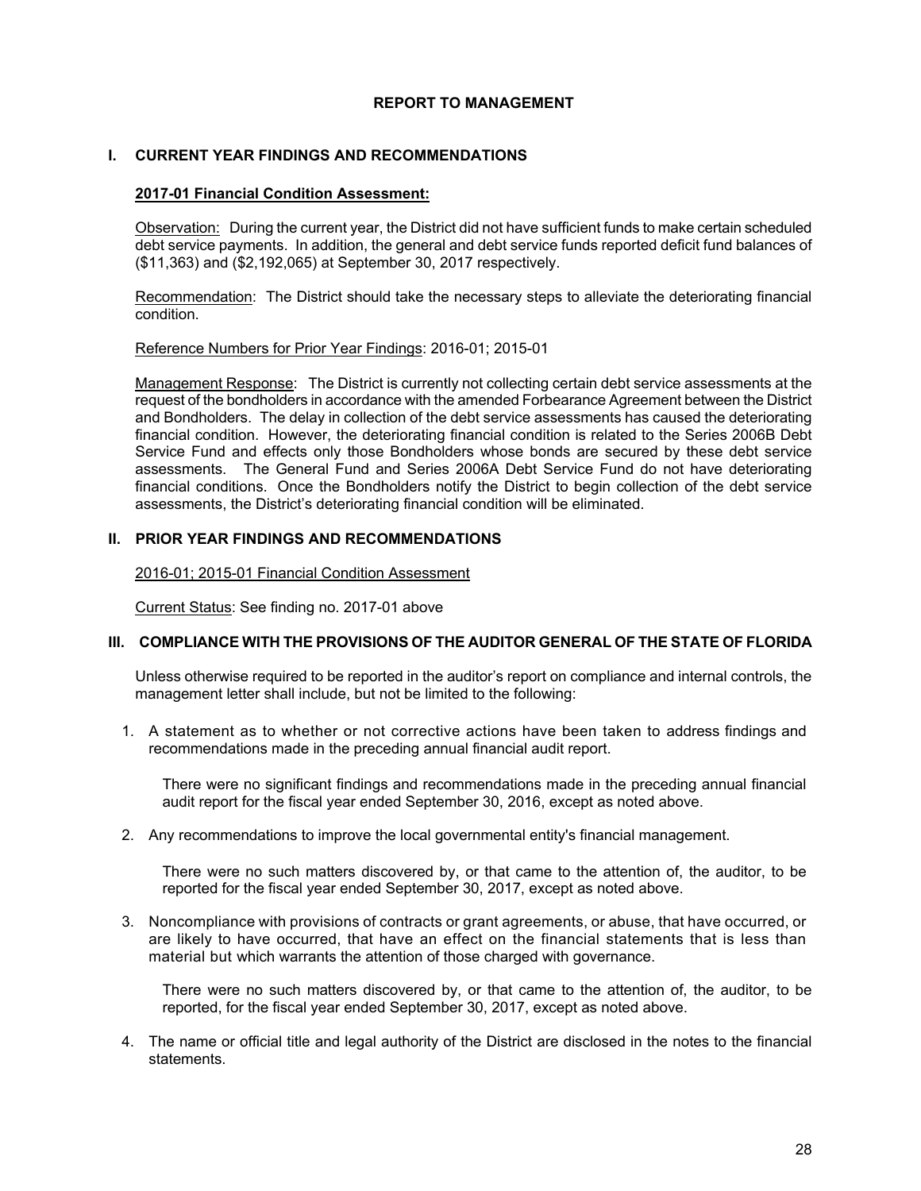# **REPORT TO MANAGEMENT**

## **I. CURRENT YEAR FINDINGS AND RECOMMENDATIONS**

#### **2017-01 Financial Condition Assessment:**

Observation: During the current year, the District did not have sufficient funds to make certain scheduled debt service payments. In addition, the general and debt service funds reported deficit fund balances of (\$11,363) and (\$2,192,065) at September 30, 2017 respectively.

Recommendation: The District should take the necessary steps to alleviate the deteriorating financial condition.

#### Reference Numbers for Prior Year Findings: 2016-01; 2015-01

Management Response: The District is currently not collecting certain debt service assessments at the request of the bondholders in accordance with the amended Forbearance Agreement between the District and Bondholders. The delay in collection of the debt service assessments has caused the deteriorating financial condition. However, the deteriorating financial condition is related to the Series 2006B Debt Service Fund and effects only those Bondholders whose bonds are secured by these debt service assessments. The General Fund and Series 2006A Debt Service Fund do not have deteriorating financial conditions. Once the Bondholders notify the District to begin collection of the debt service assessments, the District's deteriorating financial condition will be eliminated.

### **II. PRIOR YEAR FINDINGS AND RECOMMENDATIONS**

2016-01; 2015-01 Financial Condition Assessment

Current Status: See finding no. 2017-01 above

## **III. COMPLIANCE WITH THE PROVISIONS OF THE AUDITOR GENERAL OF THE STATE OF FLORIDA**

Unless otherwise required to be reported in the auditor's report on compliance and internal controls, the management letter shall include, but not be limited to the following:

1. A statement as to whether or not corrective actions have been taken to address findings and recommendations made in the preceding annual financial audit report.

There were no significant findings and recommendations made in the preceding annual financial audit report for the fiscal year ended September 30, 2016, except as noted above.

2. Any recommendations to improve the local governmental entity's financial management.

There were no such matters discovered by, or that came to the attention of, the auditor, to be reported for the fiscal year ended September 30, 2017, except as noted above.

3. Noncompliance with provisions of contracts or grant agreements, or abuse, that have occurred, or are likely to have occurred, that have an effect on the financial statements that is less than material but which warrants the attention of those charged with governance.

There were no such matters discovered by, or that came to the attention of, the auditor, to be reported, for the fiscal year ended September 30, 2017, except as noted above.

4. The name or official title and legal authority of the District are disclosed in the notes to the financial statements.